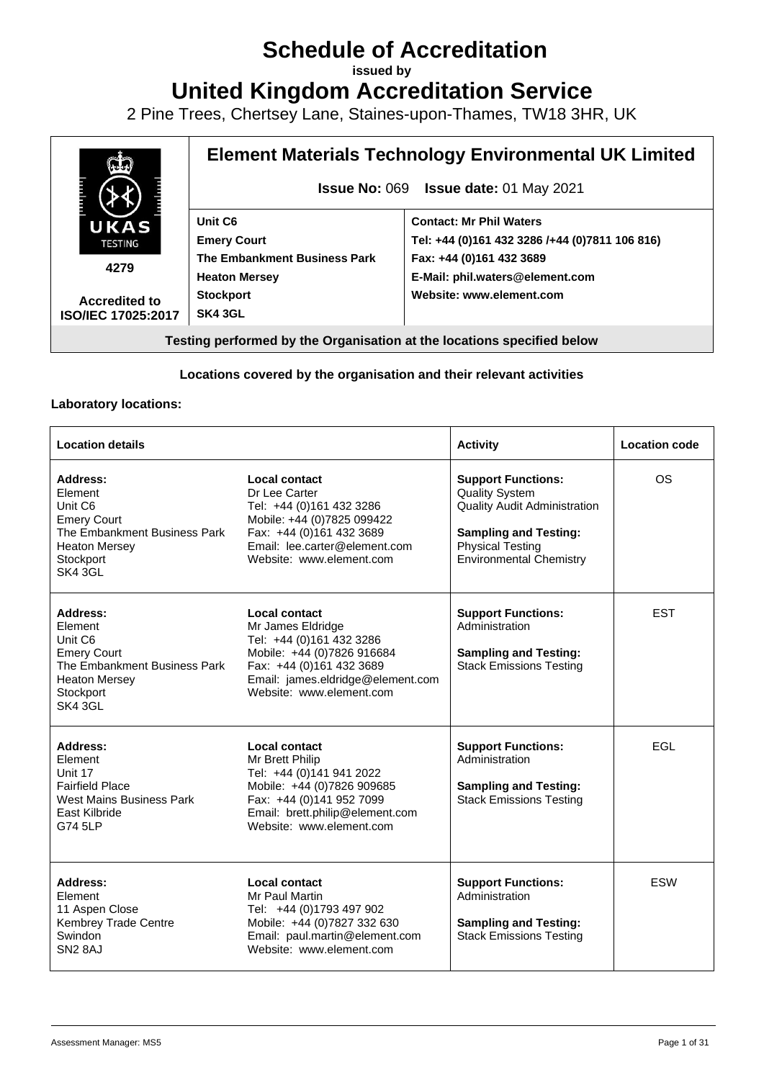# **Schedule of Accreditation**

**issued by**

**United Kingdom Accreditation Service**

2 Pine Trees, Chertsey Lane, Staines-upon-Thames, TW18 3HR, UK



#### **Locations covered by the organisation and their relevant activities**

#### **Laboratory locations:**

| <b>Location details</b>                                                                                                              |                                                                                                                                                                                                  | <b>Activity</b>                                                                                                                                                                        | <b>Location code</b> |
|--------------------------------------------------------------------------------------------------------------------------------------|--------------------------------------------------------------------------------------------------------------------------------------------------------------------------------------------------|----------------------------------------------------------------------------------------------------------------------------------------------------------------------------------------|----------------------|
| Address:<br>Element<br>Unit C6<br><b>Emery Court</b><br>The Embankment Business Park<br><b>Heaton Mersey</b><br>Stockport<br>SK4 3GL | Local contact<br>Dr Lee Carter<br>Tel: +44 (0)161 432 3286<br>Mobile: +44 (0)7825 099422<br>Fax: +44 (0)161 432 3689<br>Email: lee.carter@element.com<br>Website: www.element.com                | <b>Support Functions:</b><br><b>Quality System</b><br><b>Quality Audit Administration</b><br><b>Sampling and Testing:</b><br><b>Physical Testing</b><br><b>Environmental Chemistry</b> | <b>OS</b>            |
| Address:<br>Element<br>Unit C6<br><b>Emery Court</b><br>The Embankment Business Park<br><b>Heaton Mersey</b><br>Stockport<br>SK4 3GL | <b>Local contact</b><br>Mr James Eldridge<br>Tel: +44 (0)161 432 3286<br>Mobile: +44 (0)7826 916684<br>Fax: +44 (0)161 432 3689<br>Email: james.eldridge@element.com<br>Website: www.element.com | <b>Support Functions:</b><br>Administration<br><b>Sampling and Testing:</b><br><b>Stack Emissions Testing</b>                                                                          | <b>EST</b>           |
| Address:<br>Element<br>Unit 17<br><b>Fairfield Place</b><br>West Mains Business Park<br>East Kilbride<br>G74 5LP                     | Local contact<br>Mr Brett Philip<br>Tel: +44 (0)141 941 2022<br>Mobile: +44 (0)7826 909685<br>Fax: +44 (0)141 952 7099<br>Email: brett.philip@element.com<br>Website: www.element.com            | <b>Support Functions:</b><br>Administration<br><b>Sampling and Testing:</b><br><b>Stack Emissions Testing</b>                                                                          | EGL                  |
| Address:<br>Element<br>11 Aspen Close<br>Kembrey Trade Centre<br>Swindon<br>SN <sub>2</sub> 8AJ                                      | Local contact<br>Mr Paul Martin<br>Tel: +44 (0)1793 497 902<br>Mobile: +44 (0) 7827 332 630<br>Email: paul.martin@element.com<br>Website: www.element.com                                        | <b>Support Functions:</b><br>Administration<br><b>Sampling and Testing:</b><br><b>Stack Emissions Testing</b>                                                                          | <b>ESW</b>           |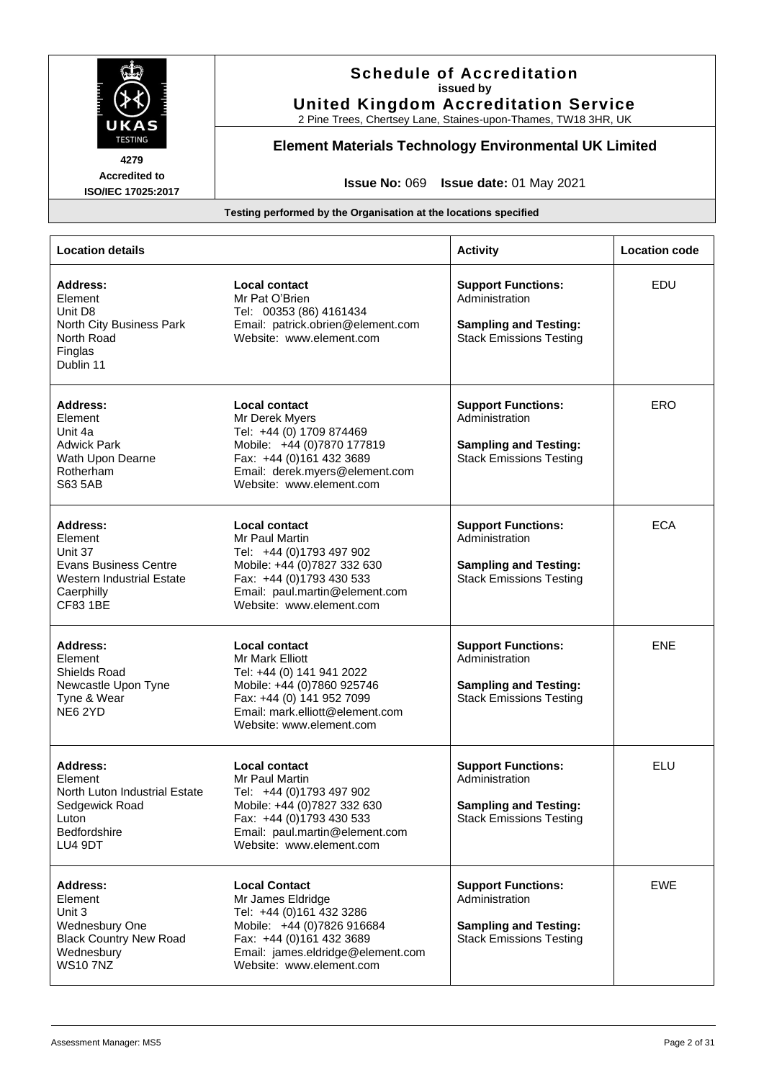

# **Schedule of Accreditation issued by United Kingdom Accreditation Service**

2 Pine Trees, Chertsey Lane, Staines-upon-Thames, TW18 3HR, UK

# **Element Materials Technology Environmental UK Limited**

**4279 Accredited to ISO/IEC 17025:2017**

**Issue No:** 069 **Issue date:** 01 May 2021

| <b>Location details</b>                                                                                                             |                                                                                                                                                                                                       | <b>Activity</b>                                                                                               | <b>Location code</b> |
|-------------------------------------------------------------------------------------------------------------------------------------|-------------------------------------------------------------------------------------------------------------------------------------------------------------------------------------------------------|---------------------------------------------------------------------------------------------------------------|----------------------|
| <b>Address:</b><br>Element<br>Unit D8<br>North City Business Park<br>North Road<br>Finglas<br>Dublin 11                             | <b>Local contact</b><br>Mr Pat O'Brien<br>Tel: 00353 (86) 4161434<br>Email: patrick.obrien@element.com<br>Website: www.element.com                                                                    | <b>Support Functions:</b><br>Administration<br><b>Sampling and Testing:</b><br><b>Stack Emissions Testing</b> | EDU                  |
| Address:<br>Element<br>Unit 4a<br>Adwick Park<br>Wath Upon Dearne<br>Rotherham<br>S63 5AB                                           | <b>Local contact</b><br>Mr Derek Myers<br>Tel: +44 (0) 1709 874469<br>Mobile: +44 (0)7870 177819<br>Fax: +44 (0)161 432 3689<br>Email: derek.myers@element.com<br>Website: www.element.com            | <b>Support Functions:</b><br>Administration<br><b>Sampling and Testing:</b><br><b>Stack Emissions Testing</b> | ERO                  |
| Address:<br>Element<br>Unit 37<br><b>Evans Business Centre</b><br><b>Western Industrial Estate</b><br>Caerphilly<br><b>CF83 1BE</b> | <b>Local contact</b><br>Mr Paul Martin<br>Tel: +44 (0)1793 497 902<br>Mobile: +44 (0)7827 332 630<br>Fax: +44 (0)1793 430 533<br>Email: paul.martin@element.com<br>Website: www.element.com           | <b>Support Functions:</b><br>Administration<br><b>Sampling and Testing:</b><br><b>Stack Emissions Testing</b> | <b>ECA</b>           |
| Address:<br>Element<br>Shields Road<br>Newcastle Upon Tyne<br>Tyne & Wear<br>NE62YD                                                 | <b>Local contact</b><br><b>Mr Mark Elliott</b><br>Tel: +44 (0) 141 941 2022<br>Mobile: +44 (0)7860 925746<br>Fax: +44 (0) 141 952 7099<br>Email: mark.elliott@element.com<br>Website: www.element.com | <b>Support Functions:</b><br>Administration<br><b>Sampling and Testing:</b><br><b>Stack Emissions Testing</b> | <b>ENE</b>           |
| <b>Address:</b><br>Element<br>North Luton Industrial Estate<br>Sedgewick Road<br>Luton<br>Bedfordshire<br>LU4 9DT                   | <b>Local contact</b><br>Mr Paul Martin<br>Tel: +44 (0)1793 497 902<br>Mobile: +44 (0)7827 332 630<br>Fax: +44 (0)1793 430 533<br>Email: paul.martin@element.com<br>Website: www.element.com           | <b>Support Functions:</b><br>Administration<br><b>Sampling and Testing:</b><br><b>Stack Emissions Testing</b> | ELU                  |
| <b>Address:</b><br>Element<br>Unit 3<br>Wednesbury One<br><b>Black Country New Road</b><br>Wednesbury<br><b>WS107NZ</b>             | <b>Local Contact</b><br>Mr James Eldridge<br>Tel: +44 (0)161 432 3286<br>Mobile: +44 (0)7826 916684<br>Fax: +44 (0)161 432 3689<br>Email: james.eldridge@element.com<br>Website: www.element.com      | <b>Support Functions:</b><br>Administration<br><b>Sampling and Testing:</b><br><b>Stack Emissions Testing</b> | EWE                  |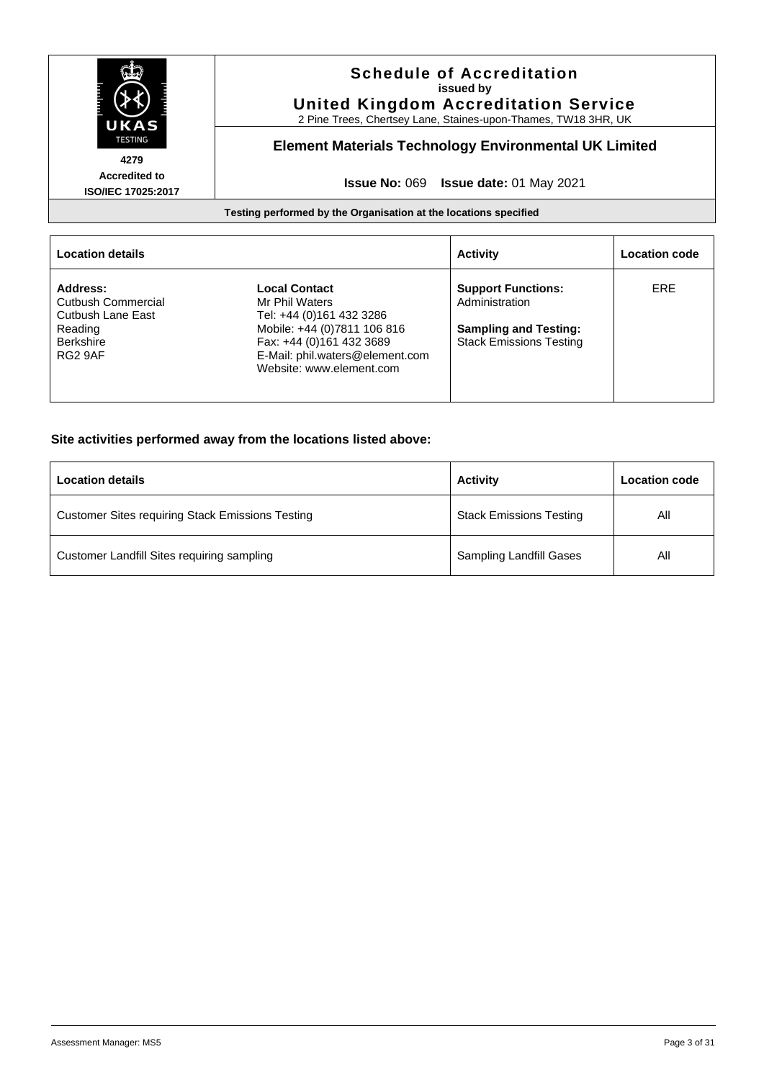

|                                                     |                                                                                                                        | <b>Activity</b>                                                | <b>Location code</b> |
|-----------------------------------------------------|------------------------------------------------------------------------------------------------------------------------|----------------------------------------------------------------|----------------------|
| Address:<br>Cutbush Commercial<br>Cutbush Lane East | <b>Local Contact</b><br>Mr Phil Waters<br>Tel: +44 (0)161 432 3286                                                     | <b>Support Functions:</b><br>Administration                    | ERE                  |
| Reading<br><b>Berkshire</b><br>RG2 9AF              | Mobile: +44 (0)7811 106 816<br>Fax: +44 (0)161 432 3689<br>E-Mail: phil.waters@element.com<br>Website: www.element.com | <b>Sampling and Testing:</b><br><b>Stack Emissions Testing</b> |                      |
|                                                     |                                                                                                                        |                                                                |                      |

#### **Site activities performed away from the locations listed above:**

| <b>Location details</b>                                 | <b>Activity</b>                | Location code |
|---------------------------------------------------------|--------------------------------|---------------|
| <b>Customer Sites requiring Stack Emissions Testing</b> | <b>Stack Emissions Testing</b> | All           |
| Customer Landfill Sites requiring sampling              | <b>Sampling Landfill Gases</b> | Αll           |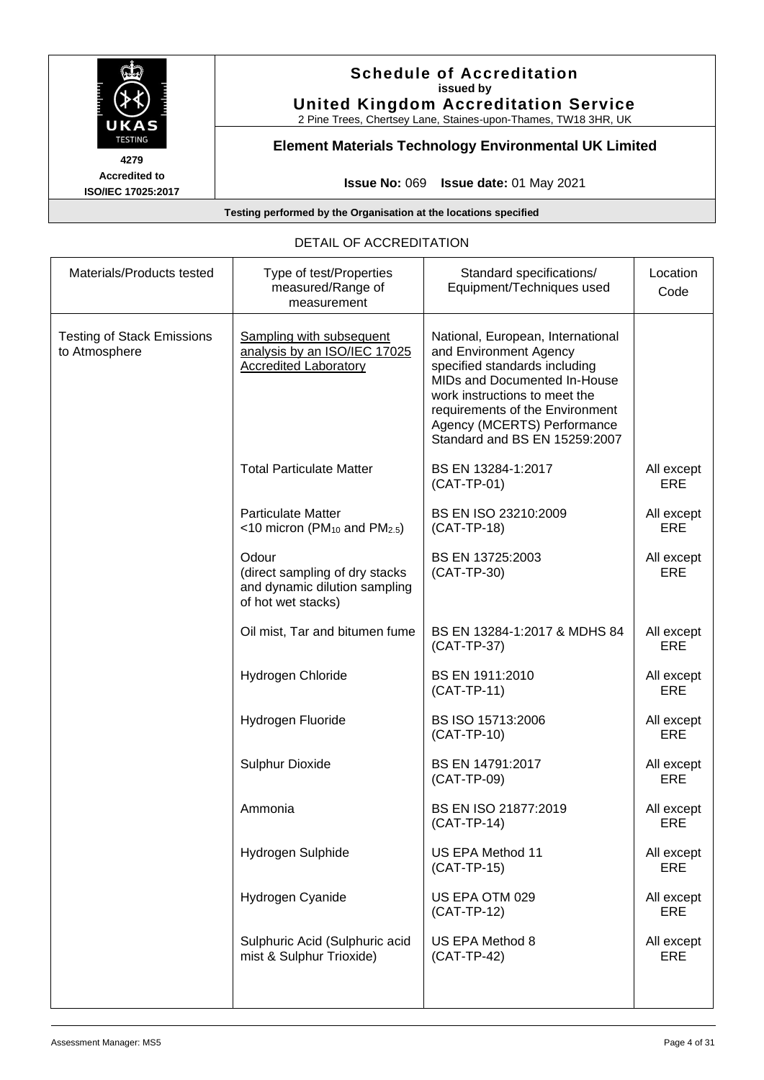

# **Schedule of Accreditation issued by United Kingdom Accreditation Service**

2 Pine Trees, Chertsey Lane, Staines-upon-Thames, TW18 3HR, UK

# **Element Materials Technology Environmental UK Limited**

**Issue No:** 069 **Issue date:** 01 May 2021

**Testing performed by the Organisation at the locations specified**

#### DETAIL OF ACCREDITATION

| Materials/Products tested                          | Type of test/Properties<br>measured/Range of<br>measurement                                    | Standard specifications/<br>Equipment/Techniques used                                                                                                                                                                                                            | Location<br>Code         |
|----------------------------------------------------|------------------------------------------------------------------------------------------------|------------------------------------------------------------------------------------------------------------------------------------------------------------------------------------------------------------------------------------------------------------------|--------------------------|
| <b>Testing of Stack Emissions</b><br>to Atmosphere | Sampling with subsequent<br>analysis by an ISO/IEC 17025<br><b>Accredited Laboratory</b>       | National, European, International<br>and Environment Agency<br>specified standards including<br>MIDs and Documented In-House<br>work instructions to meet the<br>requirements of the Environment<br>Agency (MCERTS) Performance<br>Standard and BS EN 15259:2007 |                          |
|                                                    | <b>Total Particulate Matter</b>                                                                | BS EN 13284-1:2017<br>$(CAT-TP-01)$                                                                                                                                                                                                                              | All except<br>ERE        |
|                                                    | <b>Particulate Matter</b><br><10 micron ( $PM_{10}$ and $PM_{2.5}$ )                           | BS EN ISO 23210:2009<br>(CAT-TP-18)                                                                                                                                                                                                                              | All except<br><b>ERE</b> |
|                                                    | Odour<br>(direct sampling of dry stacks<br>and dynamic dilution sampling<br>of hot wet stacks) | BS EN 13725:2003<br>(CAT-TP-30)                                                                                                                                                                                                                                  | All except<br><b>ERE</b> |
|                                                    | Oil mist, Tar and bitumen fume                                                                 | BS EN 13284-1:2017 & MDHS 84<br>(CAT-TP-37)                                                                                                                                                                                                                      | All except<br>ERE        |
|                                                    | Hydrogen Chloride                                                                              | BS EN 1911:2010<br>$(CAT-TP-11)$                                                                                                                                                                                                                                 | All except<br>ERE        |
|                                                    | Hydrogen Fluoride                                                                              | BS ISO 15713:2006<br>(CAT-TP-10)                                                                                                                                                                                                                                 | All except<br>ERE        |
|                                                    | <b>Sulphur Dioxide</b>                                                                         | BS EN 14791:2017<br>(CAT-TP-09)                                                                                                                                                                                                                                  | All except<br><b>ERE</b> |
|                                                    | Ammonia                                                                                        | BS EN ISO 21877:2019<br>$(CAT-TP-14)$                                                                                                                                                                                                                            | All except<br>ERE        |
|                                                    | Hydrogen Sulphide                                                                              | US EPA Method 11<br>(CAT-TP-15)                                                                                                                                                                                                                                  | All except<br>ERE        |
|                                                    | Hydrogen Cyanide                                                                               | US EPA OTM 029<br>(CAT-TP-12)                                                                                                                                                                                                                                    | All except<br>ERE        |
|                                                    | Sulphuric Acid (Sulphuric acid<br>mist & Sulphur Trioxide)                                     | US EPA Method 8<br>(CAT-TP-42)                                                                                                                                                                                                                                   | All except<br>ERE        |
|                                                    |                                                                                                |                                                                                                                                                                                                                                                                  |                          |

**4279 Accredited to ISO/IEC 17025:2017**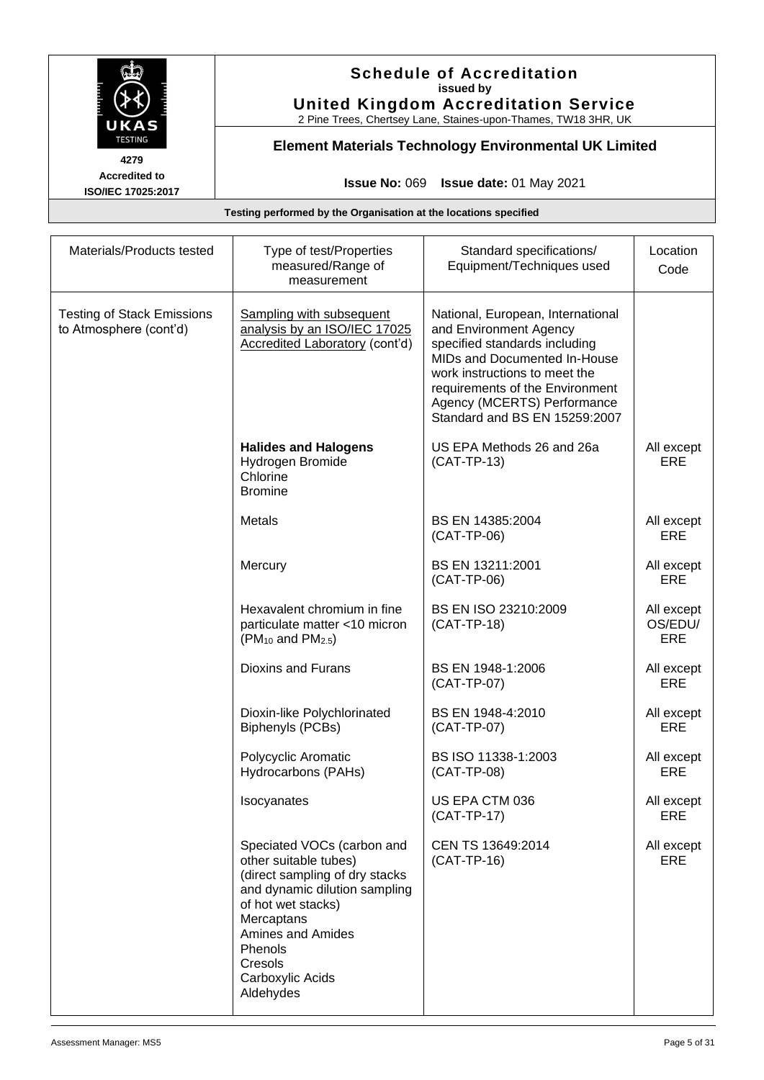

# **Schedule of Accreditation issued by United Kingdom Accreditation Service**

2 Pine Trees, Chertsey Lane, Staines-upon-Thames, TW18 3HR, UK

# **Element Materials Technology Environmental UK Limited**

**Issue No:** 069 **Issue date:** 01 May 2021

| Materials/Products tested                                   | Type of test/Properties<br>measured/Range of<br>measurement                                                                                                                                                                                   | Standard specifications/<br>Equipment/Techniques used                                                                                                                                                                                                            | Location<br>Code             |
|-------------------------------------------------------------|-----------------------------------------------------------------------------------------------------------------------------------------------------------------------------------------------------------------------------------------------|------------------------------------------------------------------------------------------------------------------------------------------------------------------------------------------------------------------------------------------------------------------|------------------------------|
| <b>Testing of Stack Emissions</b><br>to Atmosphere (cont'd) | Sampling with subsequent<br>analysis by an ISO/IEC 17025<br><b>Accredited Laboratory (cont'd)</b>                                                                                                                                             | National, European, International<br>and Environment Agency<br>specified standards including<br>MIDs and Documented In-House<br>work instructions to meet the<br>requirements of the Environment<br>Agency (MCERTS) Performance<br>Standard and BS EN 15259:2007 |                              |
|                                                             | <b>Halides and Halogens</b><br>Hydrogen Bromide<br>Chlorine<br><b>Bromine</b>                                                                                                                                                                 | US EPA Methods 26 and 26a<br>$(CAT-TP-13)$                                                                                                                                                                                                                       | All except<br>ERE            |
|                                                             | <b>Metals</b>                                                                                                                                                                                                                                 | BS EN 14385:2004<br>(CAT-TP-06)                                                                                                                                                                                                                                  | All except<br>ERE            |
|                                                             | Mercury                                                                                                                                                                                                                                       | BS EN 13211:2001<br>(CAT-TP-06)                                                                                                                                                                                                                                  | All except<br><b>ERE</b>     |
|                                                             | Hexavalent chromium in fine<br>particulate matter <10 micron<br>$(PM_{10}$ and $PM_{2.5})$                                                                                                                                                    | BS EN ISO 23210:2009<br>(CAT-TP-18)                                                                                                                                                                                                                              | All except<br>OS/EDU/<br>ERE |
|                                                             | Dioxins and Furans                                                                                                                                                                                                                            | BS EN 1948-1:2006<br>(CAT-TP-07)                                                                                                                                                                                                                                 | All except<br>ERE            |
|                                                             | Dioxin-like Polychlorinated<br>Biphenyls (PCBs)                                                                                                                                                                                               | BS EN 1948-4:2010<br>(CAT-TP-07)                                                                                                                                                                                                                                 | All except<br>ERE            |
|                                                             | Polycyclic Aromatic<br>Hydrocarbons (PAHs)                                                                                                                                                                                                    | BS ISO 11338-1:2003<br>(CAT-TP-08)                                                                                                                                                                                                                               | All except<br>ERE            |
|                                                             | Isocyanates                                                                                                                                                                                                                                   | US EPA CTM 036<br>$(CAT-TP-17)$                                                                                                                                                                                                                                  | All except<br>ERE            |
|                                                             | Speciated VOCs (carbon and<br>other suitable tubes)<br>(direct sampling of dry stacks<br>and dynamic dilution sampling<br>of hot wet stacks)<br>Mercaptans<br><b>Amines and Amides</b><br>Phenols<br>Cresols<br>Carboxylic Acids<br>Aldehydes | CEN TS 13649:2014<br>(CAT-TP-16)                                                                                                                                                                                                                                 | All except<br>ERE            |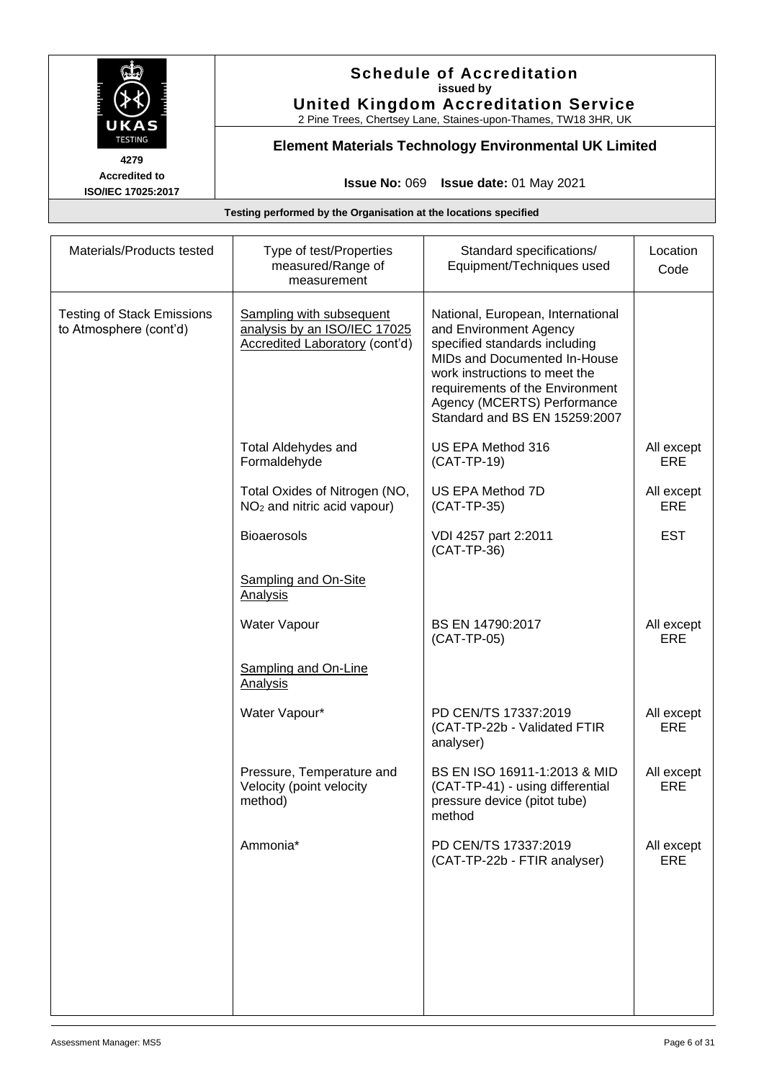

# **Schedule of Accreditation issued by United Kingdom Accreditation Service**

2 Pine Trees, Chertsey Lane, Staines-upon-Thames, TW18 3HR, UK

# **Element Materials Technology Environmental UK Limited**

**Issue No:** 069 **Issue date:** 01 May 2021

| Materials/Products tested                                   | Type of test/Properties<br>measured/Range of<br>measurement                                              | Standard specifications/<br>Equipment/Techniques used                                                                                                                                                                                                            | Location<br>Code         |
|-------------------------------------------------------------|----------------------------------------------------------------------------------------------------------|------------------------------------------------------------------------------------------------------------------------------------------------------------------------------------------------------------------------------------------------------------------|--------------------------|
| <b>Testing of Stack Emissions</b><br>to Atmosphere (cont'd) | <b>Sampling with subsequent</b><br>analysis by an ISO/IEC 17025<br><b>Accredited Laboratory (cont'd)</b> | National, European, International<br>and Environment Agency<br>specified standards including<br>MIDs and Documented In-House<br>work instructions to meet the<br>requirements of the Environment<br>Agency (MCERTS) Performance<br>Standard and BS EN 15259:2007 |                          |
|                                                             | <b>Total Aldehydes and</b><br>Formaldehyde                                                               | US EPA Method 316<br>(CAT-TP-19)                                                                                                                                                                                                                                 | All except<br>ERE        |
|                                                             | Total Oxides of Nitrogen (NO,<br>NO <sub>2</sub> and nitric acid vapour)                                 | US EPA Method 7D<br>(CAT-TP-35)                                                                                                                                                                                                                                  | All except<br>ERE        |
|                                                             | <b>Bioaerosols</b>                                                                                       | VDI 4257 part 2:2011<br>(CAT-TP-36)                                                                                                                                                                                                                              | <b>EST</b>               |
|                                                             | <b>Sampling and On-Site</b><br><b>Analysis</b>                                                           |                                                                                                                                                                                                                                                                  |                          |
|                                                             | Water Vapour                                                                                             | BS EN 14790:2017<br>(CAT-TP-05)                                                                                                                                                                                                                                  | All except<br>ERE        |
|                                                             | Sampling and On-Line<br><b>Analysis</b>                                                                  |                                                                                                                                                                                                                                                                  |                          |
|                                                             | Water Vapour*                                                                                            | PD CEN/TS 17337:2019<br>(CAT-TP-22b - Validated FTIR<br>analyser)                                                                                                                                                                                                | All except<br>ERE        |
|                                                             | Pressure, Temperature and<br>Velocity (point velocity<br>method)                                         | BS EN ISO 16911-1:2013 & MID<br>(CAT-TP-41) - using differential<br>pressure device (pitot tube)<br>method                                                                                                                                                       | All except<br>ERE        |
|                                                             | Ammonia*                                                                                                 | PD CEN/TS 17337:2019<br>(CAT-TP-22b - FTIR analyser)                                                                                                                                                                                                             | All except<br><b>ERE</b> |
|                                                             |                                                                                                          |                                                                                                                                                                                                                                                                  |                          |
|                                                             |                                                                                                          |                                                                                                                                                                                                                                                                  |                          |
|                                                             |                                                                                                          |                                                                                                                                                                                                                                                                  |                          |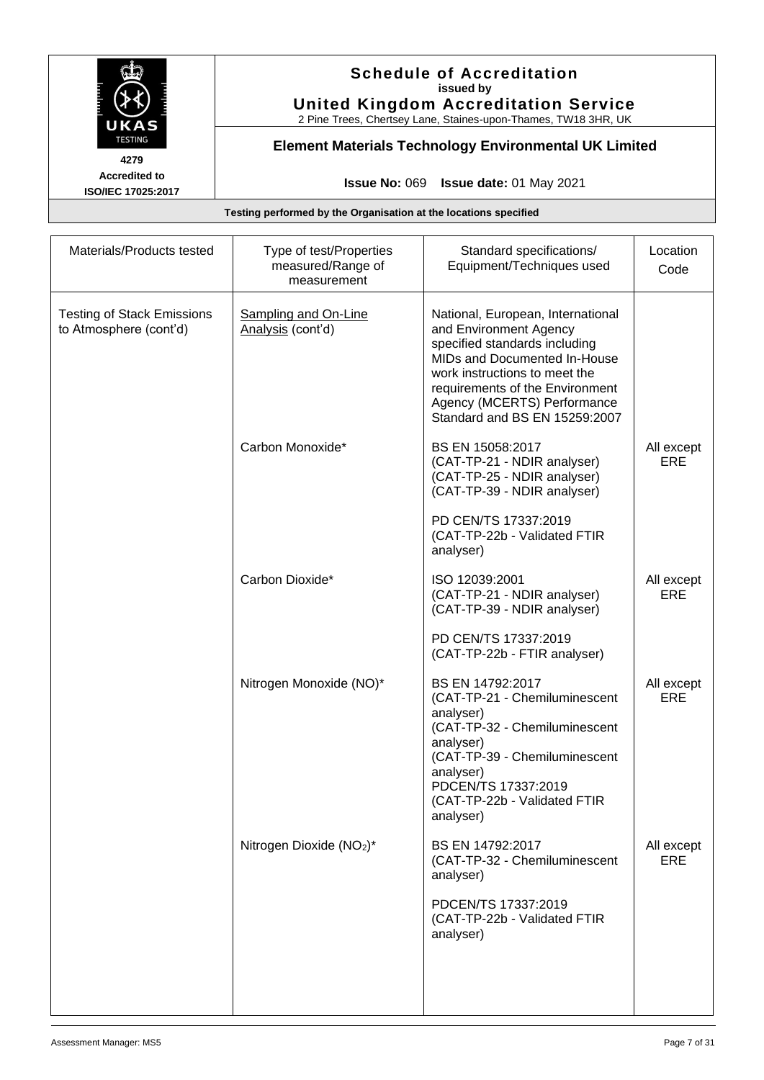

# **Schedule of Accreditation issued by United Kingdom Accreditation Service**

2 Pine Trees, Chertsey Lane, Staines-upon-Thames, TW18 3HR, UK

# **Element Materials Technology Environmental UK Limited**

**Issue No:** 069 **Issue date:** 01 May 2021

| Materials/Products tested                                   | Type of test/Properties<br>measured/Range of<br>measurement | Standard specifications/<br>Equipment/Techniques used                                                                                                                                                                                                            | Location<br>Code         |
|-------------------------------------------------------------|-------------------------------------------------------------|------------------------------------------------------------------------------------------------------------------------------------------------------------------------------------------------------------------------------------------------------------------|--------------------------|
| <b>Testing of Stack Emissions</b><br>to Atmosphere (cont'd) | <b>Sampling and On-Line</b><br>Analysis (cont'd)            | National, European, International<br>and Environment Agency<br>specified standards including<br>MIDs and Documented In-House<br>work instructions to meet the<br>requirements of the Environment<br>Agency (MCERTS) Performance<br>Standard and BS EN 15259:2007 |                          |
|                                                             | Carbon Monoxide*                                            | BS EN 15058:2017<br>(CAT-TP-21 - NDIR analyser)<br>(CAT-TP-25 - NDIR analyser)<br>(CAT-TP-39 - NDIR analyser)<br>PD CEN/TS 17337:2019<br>(CAT-TP-22b - Validated FTIR                                                                                            | All except<br>ERE        |
|                                                             | Carbon Dioxide*                                             | analyser)<br>ISO 12039:2001<br>(CAT-TP-21 - NDIR analyser)<br>(CAT-TP-39 - NDIR analyser)                                                                                                                                                                        | All except<br><b>ERE</b> |
|                                                             |                                                             | PD CEN/TS 17337:2019<br>(CAT-TP-22b - FTIR analyser)                                                                                                                                                                                                             |                          |
|                                                             | Nitrogen Monoxide (NO)*                                     | BS EN 14792:2017<br>(CAT-TP-21 - Chemiluminescent<br>analyser)<br>(CAT-TP-32 - Chemiluminescent<br>analyser)<br>(CAT-TP-39 - Chemiluminescent<br>analyser)<br>PDCEN/TS 17337:2019<br>(CAT-TP-22b - Validated FTIR<br>analyser)                                   | All except<br>ERE        |
|                                                             | Nitrogen Dioxide (NO <sub>2</sub> )*                        | BS EN 14792:2017<br>(CAT-TP-32 - Chemiluminescent<br>analyser)<br>PDCEN/TS 17337:2019<br>(CAT-TP-22b - Validated FTIR<br>analyser)                                                                                                                               | All except<br>ERE        |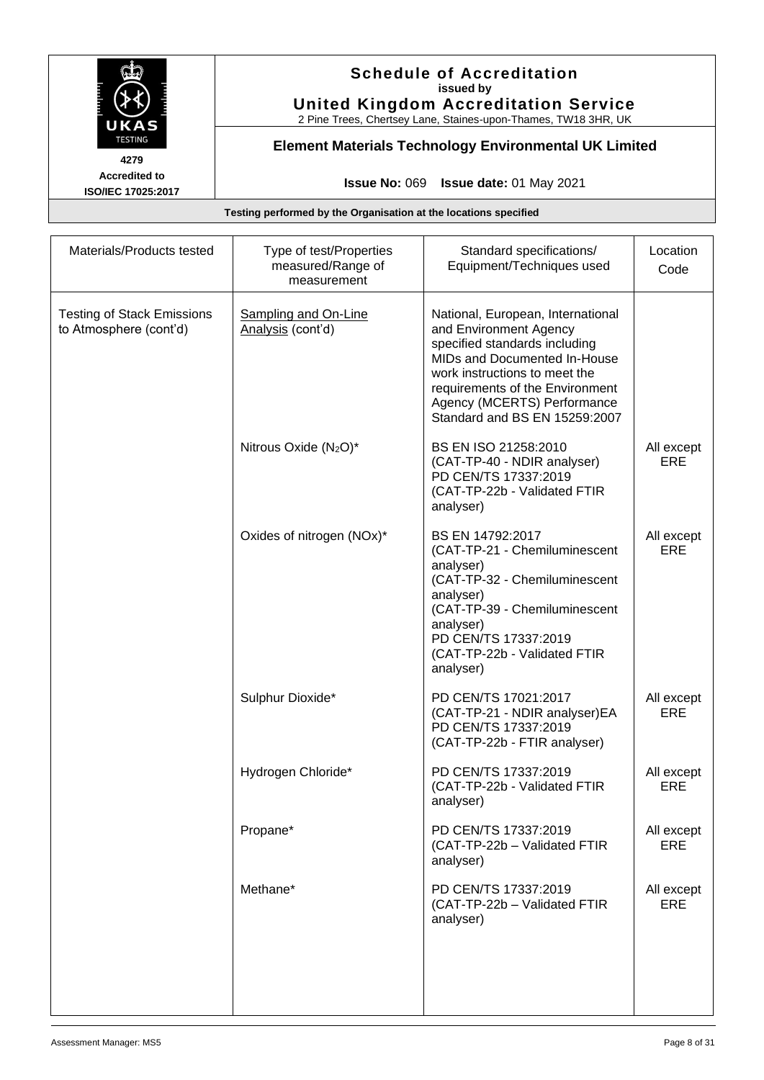

# **Schedule of Accreditation issued by United Kingdom Accreditation Service**

2 Pine Trees, Chertsey Lane, Staines-upon-Thames, TW18 3HR, UK

# **Element Materials Technology Environmental UK Limited**

**Issue No:** 069 **Issue date:** 01 May 2021

| Materials/Products tested                                   | Type of test/Properties<br>measured/Range of<br>measurement | Standard specifications/<br>Equipment/Techniques used                                                                                                                                                                                                            | Location<br>Code         |
|-------------------------------------------------------------|-------------------------------------------------------------|------------------------------------------------------------------------------------------------------------------------------------------------------------------------------------------------------------------------------------------------------------------|--------------------------|
| <b>Testing of Stack Emissions</b><br>to Atmosphere (cont'd) | <b>Sampling and On-Line</b><br>Analysis (cont'd)            | National, European, International<br>and Environment Agency<br>specified standards including<br>MIDs and Documented In-House<br>work instructions to meet the<br>requirements of the Environment<br>Agency (MCERTS) Performance<br>Standard and BS EN 15259:2007 |                          |
|                                                             | Nitrous Oxide (N <sub>2</sub> O)*                           | BS EN ISO 21258:2010<br>(CAT-TP-40 - NDIR analyser)<br>PD CEN/TS 17337:2019<br>(CAT-TP-22b - Validated FTIR<br>analyser)                                                                                                                                         | All except<br>ERE        |
|                                                             | Oxides of nitrogen (NOx)*                                   | BS EN 14792:2017<br>(CAT-TP-21 - Chemiluminescent<br>analyser)<br>(CAT-TP-32 - Chemiluminescent<br>analyser)<br>(CAT-TP-39 - Chemiluminescent<br>analyser)<br>PD CEN/TS 17337:2019<br>(CAT-TP-22b - Validated FTIR<br>analyser)                                  | All except<br>ERE        |
|                                                             | Sulphur Dioxide*                                            | PD CEN/TS 17021:2017<br>(CAT-TP-21 - NDIR analyser)EA<br>PD CEN/TS 17337:2019<br>(CAT-TP-22b - FTIR analyser)                                                                                                                                                    | All except<br>ERE        |
|                                                             | Hydrogen Chloride*                                          | PD CEN/TS 17337:2019<br>(CAT-TP-22b - Validated FTIR<br>analyser)                                                                                                                                                                                                | All except<br>ERE        |
|                                                             | Propane*                                                    | PD CEN/TS 17337:2019<br>(CAT-TP-22b - Validated FTIR<br>analyser)                                                                                                                                                                                                | All except<br>ERE        |
|                                                             | Methane*                                                    | PD CEN/TS 17337:2019<br>(CAT-TP-22b - Validated FTIR<br>analyser)                                                                                                                                                                                                | All except<br><b>ERE</b> |
|                                                             |                                                             |                                                                                                                                                                                                                                                                  |                          |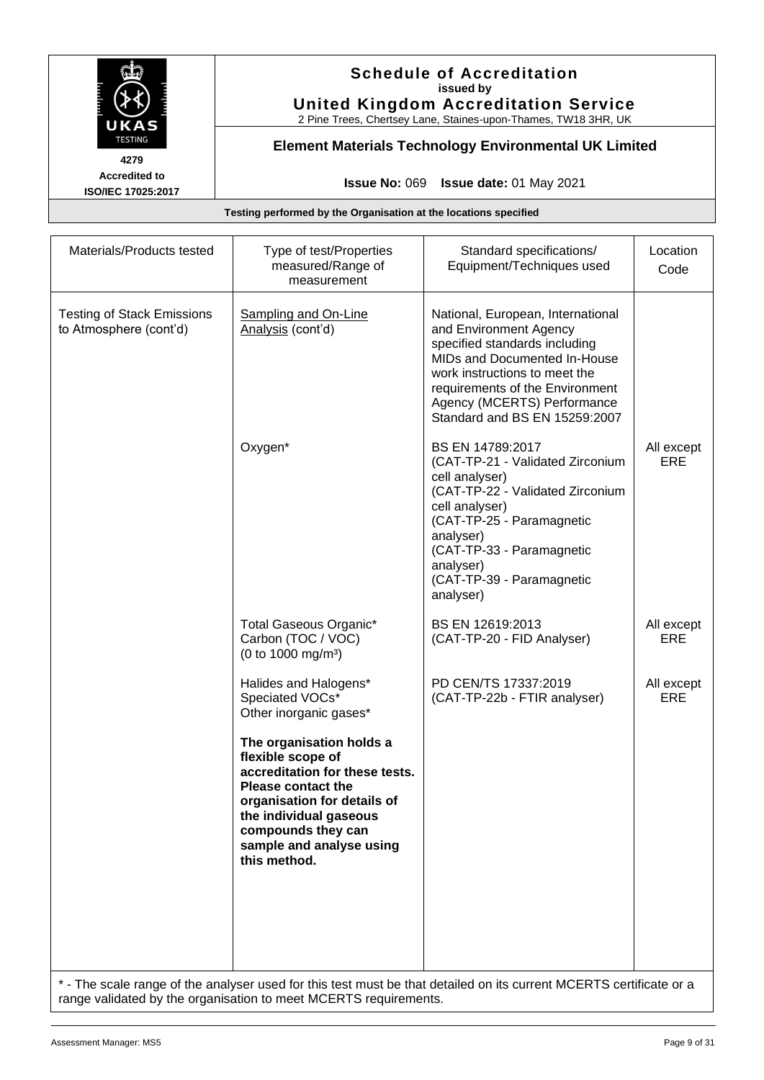

# **Schedule of Accreditation issued by United Kingdom Accreditation Service**

2 Pine Trees, Chertsey Lane, Staines-upon-Thames, TW18 3HR, UK

# **Element Materials Technology Environmental UK Limited**

**Issue No:** 069 **Issue date:** 01 May 2021

**Testing performed by the Organisation at the locations specified**

| Materials/Products tested                                   | Type of test/Properties<br>measured/Range of<br>measurement                                                                                                                                                                             | Standard specifications/<br>Equipment/Techniques used                                                                                                                                                                                                            | Location<br>Code  |
|-------------------------------------------------------------|-----------------------------------------------------------------------------------------------------------------------------------------------------------------------------------------------------------------------------------------|------------------------------------------------------------------------------------------------------------------------------------------------------------------------------------------------------------------------------------------------------------------|-------------------|
| <b>Testing of Stack Emissions</b><br>to Atmosphere (cont'd) | <b>Sampling and On-Line</b><br>Analysis (cont'd)                                                                                                                                                                                        | National, European, International<br>and Environment Agency<br>specified standards including<br>MIDs and Documented In-House<br>work instructions to meet the<br>requirements of the Environment<br>Agency (MCERTS) Performance<br>Standard and BS EN 15259:2007 |                   |
|                                                             | Oxygen*                                                                                                                                                                                                                                 | BS EN 14789:2017<br>(CAT-TP-21 - Validated Zirconium<br>cell analyser)<br>(CAT-TP-22 - Validated Zirconium<br>cell analyser)<br>(CAT-TP-25 - Paramagnetic<br>analyser)<br>(CAT-TP-33 - Paramagnetic<br>analyser)<br>(CAT-TP-39 - Paramagnetic<br>analyser)       | All except<br>ERE |
|                                                             | Total Gaseous Organic*<br>Carbon (TOC / VOC)<br>(0 to 1000 mg/m <sup>3</sup> )                                                                                                                                                          | BS EN 12619:2013<br>(CAT-TP-20 - FID Analyser)                                                                                                                                                                                                                   | All except<br>ERE |
|                                                             | Halides and Halogens*<br>Speciated VOCs*<br>Other inorganic gases*                                                                                                                                                                      | PD CEN/TS 17337:2019<br>(CAT-TP-22b - FTIR analyser)                                                                                                                                                                                                             | All except<br>ERE |
|                                                             | The organisation holds a<br>flexible scope of<br>accreditation for these tests.<br><b>Please contact the</b><br>organisation for details of<br>the individual gaseous<br>compounds they can<br>sample and analyse using<br>this method. |                                                                                                                                                                                                                                                                  |                   |
|                                                             |                                                                                                                                                                                                                                         | * The scale range of the analyser used for this test must be that detailed on its current MCERTS certificate or a                                                                                                                                                |                   |

The scale range of the analyser used for this test must be that detailed on its current MCERTS range validated by the organisation to meet MCERTS requirements.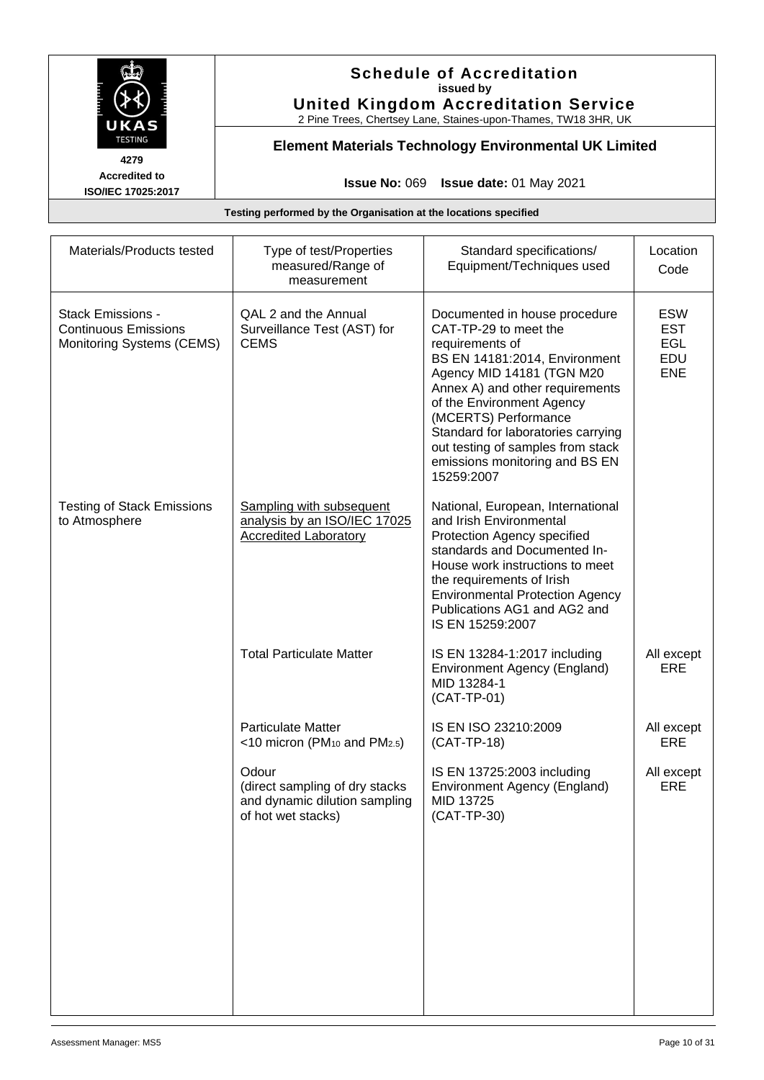

# **Schedule of Accreditation issued by United Kingdom Accreditation Service**

2 Pine Trees, Chertsey Lane, Staines-upon-Thames, TW18 3HR, UK

# **Element Materials Technology Environmental UK Limited**

**Issue No:** 069 **Issue date:** 01 May 2021

| Type of test/Properties<br>measured/Range of<br>measurement                                     | Standard specifications/<br>Equipment/Techniques used                                                                                                                                                                                                                                                                                                      | Location<br>Code                                            |
|-------------------------------------------------------------------------------------------------|------------------------------------------------------------------------------------------------------------------------------------------------------------------------------------------------------------------------------------------------------------------------------------------------------------------------------------------------------------|-------------------------------------------------------------|
| QAL 2 and the Annual<br>Surveillance Test (AST) for<br><b>CEMS</b>                              | Documented in house procedure<br>CAT-TP-29 to meet the<br>requirements of<br>BS EN 14181:2014, Environment<br>Agency MID 14181 (TGN M20<br>Annex A) and other requirements<br>of the Environment Agency<br>(MCERTS) Performance<br>Standard for laboratories carrying<br>out testing of samples from stack<br>emissions monitoring and BS EN<br>15259:2007 | <b>ESW</b><br><b>EST</b><br><b>EGL</b><br>EDU<br><b>ENE</b> |
| <b>Sampling with subsequent</b><br>analysis by an ISO/IEC 17025<br><b>Accredited Laboratory</b> | National, European, International<br>and Irish Environmental<br>Protection Agency specified<br>standards and Documented In-<br>House work instructions to meet<br>the requirements of Irish<br><b>Environmental Protection Agency</b><br>Publications AG1 and AG2 and<br>IS EN 15259:2007                                                                  |                                                             |
| <b>Total Particulate Matter</b>                                                                 | IS EN 13284-1:2017 including<br>Environment Agency (England)<br>MID 13284-1<br>(CAT-TP-01)                                                                                                                                                                                                                                                                 | All except<br>ERE                                           |
| <b>Particulate Matter</b><br><10 micron ( $PM_{10}$ and $PM_{2.5}$ )                            | IS EN ISO 23210:2009<br>(CAT-TP-18)                                                                                                                                                                                                                                                                                                                        | All except<br>ERE                                           |
| Odour<br>(direct sampling of dry stacks<br>and dynamic dilution sampling<br>of hot wet stacks)  | IS EN 13725:2003 including<br>Environment Agency (England)<br>MID 13725<br>(CAT-TP-30)                                                                                                                                                                                                                                                                     | All except<br>ERE                                           |
|                                                                                                 |                                                                                                                                                                                                                                                                                                                                                            |                                                             |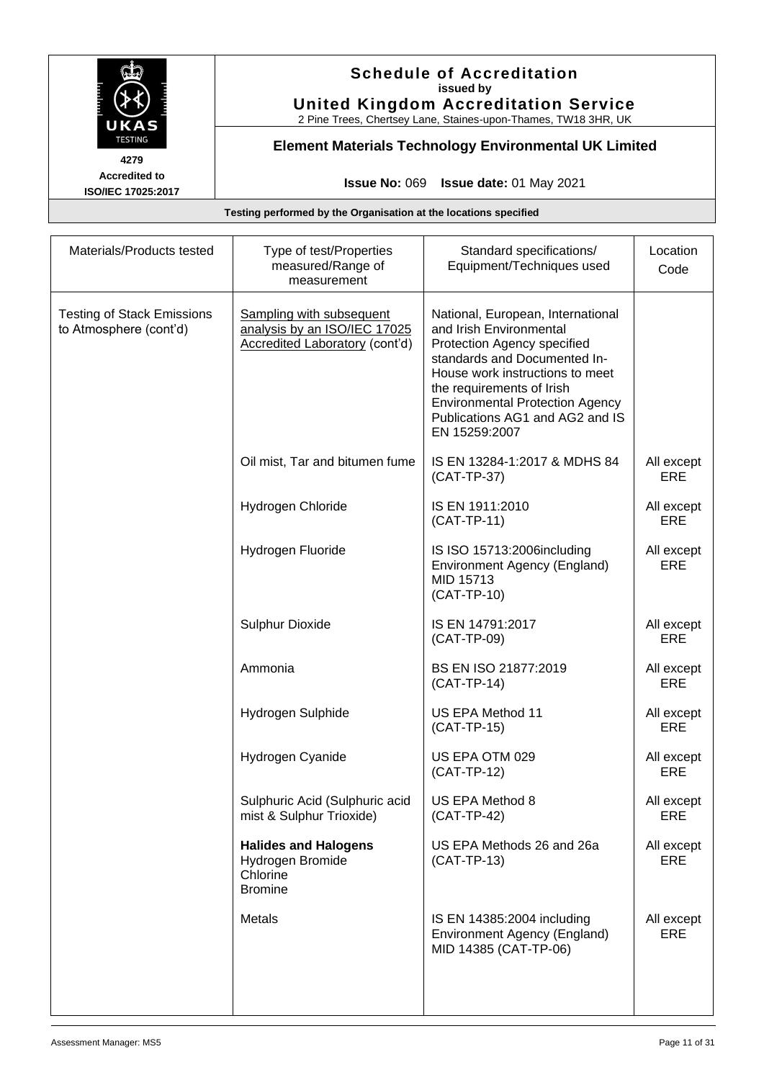

# **Schedule of Accreditation issued by United Kingdom Accreditation Service**

2 Pine Trees, Chertsey Lane, Staines-upon-Thames, TW18 3HR, UK

# **Element Materials Technology Environmental UK Limited**

**Issue No:** 069 **Issue date:** 01 May 2021

| Materials/Products tested                                   | Type of test/Properties<br>measured/Range of<br>measurement                                              | Standard specifications/<br>Equipment/Techniques used                                                                                                                                                                                                                                     | Location<br>Code         |
|-------------------------------------------------------------|----------------------------------------------------------------------------------------------------------|-------------------------------------------------------------------------------------------------------------------------------------------------------------------------------------------------------------------------------------------------------------------------------------------|--------------------------|
| <b>Testing of Stack Emissions</b><br>to Atmosphere (cont'd) | <b>Sampling with subsequent</b><br>analysis by an ISO/IEC 17025<br><b>Accredited Laboratory (cont'd)</b> | National, European, International<br>and Irish Environmental<br>Protection Agency specified<br>standards and Documented In-<br>House work instructions to meet<br>the requirements of Irish<br><b>Environmental Protection Agency</b><br>Publications AG1 and AG2 and IS<br>EN 15259:2007 |                          |
|                                                             | Oil mist, Tar and bitumen fume                                                                           | IS EN 13284-1:2017 & MDHS 84<br>(CAT-TP-37)                                                                                                                                                                                                                                               | All except<br><b>ERE</b> |
|                                                             | Hydrogen Chloride                                                                                        | IS EN 1911:2010<br>(CAT-TP-11)                                                                                                                                                                                                                                                            | All except<br>ERE        |
|                                                             | Hydrogen Fluoride                                                                                        | IS ISO 15713:2006including<br>Environment Agency (England)<br>MID 15713<br>(CAT-TP-10)                                                                                                                                                                                                    | All except<br><b>ERE</b> |
|                                                             | Sulphur Dioxide                                                                                          | IS EN 14791:2017<br>(CAT-TP-09)                                                                                                                                                                                                                                                           | All except<br>ERE        |
|                                                             | Ammonia                                                                                                  | BS EN ISO 21877:2019<br>$(CAT-TP-14)$                                                                                                                                                                                                                                                     | All except<br>ERE        |
|                                                             | Hydrogen Sulphide                                                                                        | US EPA Method 11<br>$(CAT-TP-15)$                                                                                                                                                                                                                                                         | All except<br>ERE        |
|                                                             | Hydrogen Cyanide                                                                                         | US EPA OTM 029<br>$(CAT-TP-12)$                                                                                                                                                                                                                                                           | All except<br>ERE        |
|                                                             | Sulphuric Acid (Sulphuric acid<br>mist & Sulphur Trioxide)                                               | US EPA Method 8<br>$(CAT-TP-42)$                                                                                                                                                                                                                                                          | All except<br>ERE        |
|                                                             | <b>Halides and Halogens</b><br>Hydrogen Bromide<br>Chlorine<br><b>Bromine</b>                            | US EPA Methods 26 and 26a<br>$(CAT-TP-13)$                                                                                                                                                                                                                                                | All except<br>ERE        |
|                                                             | Metals                                                                                                   | IS EN 14385:2004 including<br>Environment Agency (England)<br>MID 14385 (CAT-TP-06)                                                                                                                                                                                                       | All except<br>ERE        |
|                                                             |                                                                                                          |                                                                                                                                                                                                                                                                                           |                          |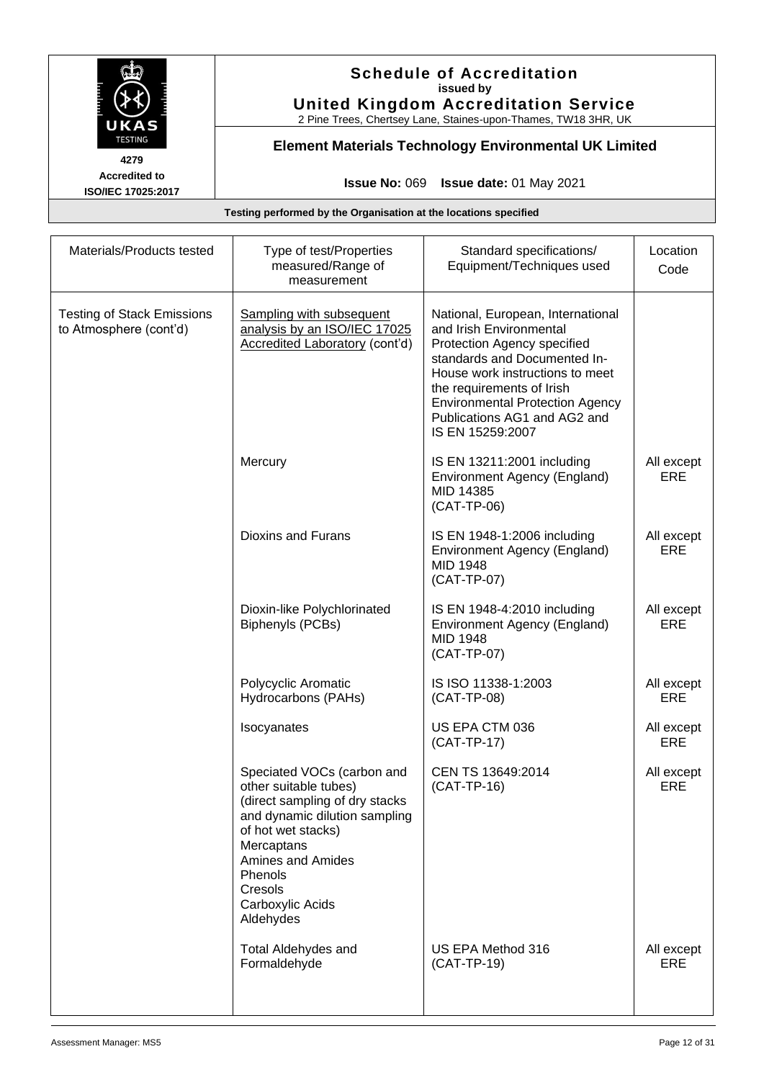

# **Schedule of Accreditation issued by United Kingdom Accreditation Service**

2 Pine Trees, Chertsey Lane, Staines-upon-Thames, TW18 3HR, UK

# **Element Materials Technology Environmental UK Limited**

**Issue No:** 069 **Issue date:** 01 May 2021

| Materials/Products tested                                   | Type of test/Properties<br>measured/Range of<br>measurement                                                                                                                                                                                   | Standard specifications/<br>Equipment/Techniques used                                                                                                                                                                                                                                     | Location<br>Code         |
|-------------------------------------------------------------|-----------------------------------------------------------------------------------------------------------------------------------------------------------------------------------------------------------------------------------------------|-------------------------------------------------------------------------------------------------------------------------------------------------------------------------------------------------------------------------------------------------------------------------------------------|--------------------------|
| <b>Testing of Stack Emissions</b><br>to Atmosphere (cont'd) | Sampling with subsequent<br>analysis by an ISO/IEC 17025<br><b>Accredited Laboratory (cont'd)</b>                                                                                                                                             | National, European, International<br>and Irish Environmental<br>Protection Agency specified<br>standards and Documented In-<br>House work instructions to meet<br>the requirements of Irish<br><b>Environmental Protection Agency</b><br>Publications AG1 and AG2 and<br>IS EN 15259:2007 |                          |
|                                                             | Mercury                                                                                                                                                                                                                                       | IS EN 13211:2001 including<br>Environment Agency (England)<br>MID 14385<br>(CAT-TP-06)                                                                                                                                                                                                    | All except<br>ERE        |
|                                                             | <b>Dioxins and Furans</b>                                                                                                                                                                                                                     | IS EN 1948-1:2006 including<br>Environment Agency (England)<br>MID 1948<br>(CAT-TP-07)                                                                                                                                                                                                    | All except<br><b>ERE</b> |
|                                                             | Dioxin-like Polychlorinated<br><b>Biphenyls (PCBs)</b>                                                                                                                                                                                        | IS EN 1948-4:2010 including<br>Environment Agency (England)<br>MID 1948<br>(CAT-TP-07)                                                                                                                                                                                                    | All except<br><b>ERE</b> |
|                                                             | Polycyclic Aromatic<br>Hydrocarbons (PAHs)                                                                                                                                                                                                    | IS ISO 11338-1:2003<br>(CAT-TP-08)                                                                                                                                                                                                                                                        | All except<br><b>ERE</b> |
|                                                             | Isocyanates                                                                                                                                                                                                                                   | US EPA CTM 036<br>(CAT-TP-17)                                                                                                                                                                                                                                                             | All except<br><b>ERE</b> |
|                                                             | Speciated VOCs (carbon and<br>other suitable tubes)<br>(direct sampling of dry stacks<br>and dynamic dilution sampling<br>of hot wet stacks)<br>Mercaptans<br><b>Amines and Amides</b><br>Phenols<br>Cresols<br>Carboxylic Acids<br>Aldehydes | CEN TS 13649:2014<br>(CAT-TP-16)                                                                                                                                                                                                                                                          | All except<br><b>ERE</b> |
|                                                             | <b>Total Aldehydes and</b><br>Formaldehyde                                                                                                                                                                                                    | US EPA Method 316<br>(CAT-TP-19)                                                                                                                                                                                                                                                          | All except<br><b>ERE</b> |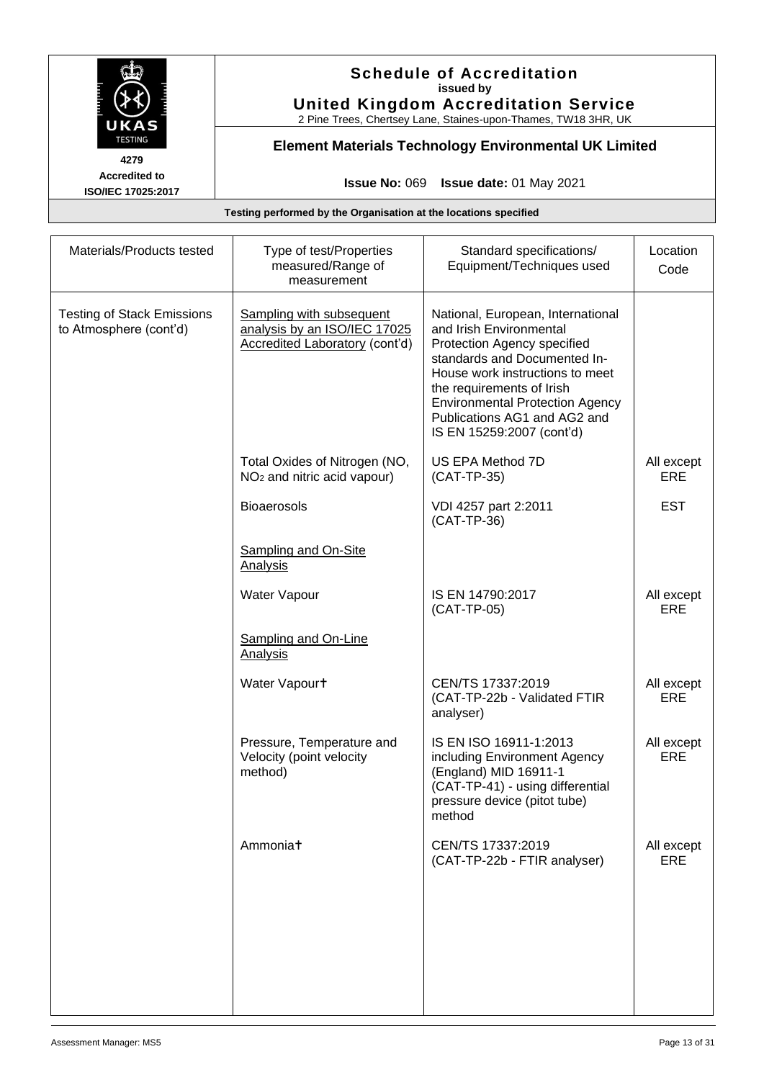

# **Schedule of Accreditation issued by United Kingdom Accreditation Service**

2 Pine Trees, Chertsey Lane, Staines-upon-Thames, TW18 3HR, UK

# **Element Materials Technology Environmental UK Limited**

**Issue No:** 069 **Issue date:** 01 May 2021

| Materials/Products tested                                   | Type of test/Properties<br>measured/Range of<br>measurement                                       | Standard specifications/<br>Equipment/Techniques used                                                                                                                                                                                                                                              | Location<br>Code         |
|-------------------------------------------------------------|---------------------------------------------------------------------------------------------------|----------------------------------------------------------------------------------------------------------------------------------------------------------------------------------------------------------------------------------------------------------------------------------------------------|--------------------------|
| <b>Testing of Stack Emissions</b><br>to Atmosphere (cont'd) | Sampling with subsequent<br>analysis by an ISO/IEC 17025<br><b>Accredited Laboratory (cont'd)</b> | National, European, International<br>and Irish Environmental<br>Protection Agency specified<br>standards and Documented In-<br>House work instructions to meet<br>the requirements of Irish<br><b>Environmental Protection Agency</b><br>Publications AG1 and AG2 and<br>IS EN 15259:2007 (cont'd) |                          |
|                                                             | Total Oxides of Nitrogen (NO,<br>NO <sub>2</sub> and nitric acid vapour)                          | US EPA Method 7D<br>(CAT-TP-35)                                                                                                                                                                                                                                                                    | All except<br>ERE        |
|                                                             | <b>Bioaerosols</b>                                                                                | VDI 4257 part 2:2011<br>(CAT-TP-36)                                                                                                                                                                                                                                                                | <b>EST</b>               |
|                                                             | <b>Sampling and On-Site</b><br><b>Analysis</b>                                                    |                                                                                                                                                                                                                                                                                                    |                          |
|                                                             | Water Vapour                                                                                      | IS EN 14790:2017<br>(CAT-TP-05)                                                                                                                                                                                                                                                                    | All except<br>ERE        |
|                                                             | <b>Sampling and On-Line</b><br><b>Analysis</b>                                                    |                                                                                                                                                                                                                                                                                                    |                          |
|                                                             | Water Vapourt                                                                                     | CEN/TS 17337:2019<br>(CAT-TP-22b - Validated FTIR<br>analyser)                                                                                                                                                                                                                                     | All except<br>ERE        |
|                                                             | Pressure, Temperature and<br>Velocity (point velocity<br>method)                                  | IS EN ISO 16911-1:2013<br>including Environment Agency<br>(England) MID 16911-1<br>(CAT-TP-41) - using differential<br>pressure device (pitot tube)<br>method                                                                                                                                      | All except<br><b>ERE</b> |
|                                                             | Ammoniat                                                                                          | CEN/TS 17337:2019<br>(CAT-TP-22b - FTIR analyser)                                                                                                                                                                                                                                                  | All except<br><b>ERE</b> |
|                                                             |                                                                                                   |                                                                                                                                                                                                                                                                                                    |                          |
|                                                             |                                                                                                   |                                                                                                                                                                                                                                                                                                    |                          |
|                                                             |                                                                                                   |                                                                                                                                                                                                                                                                                                    |                          |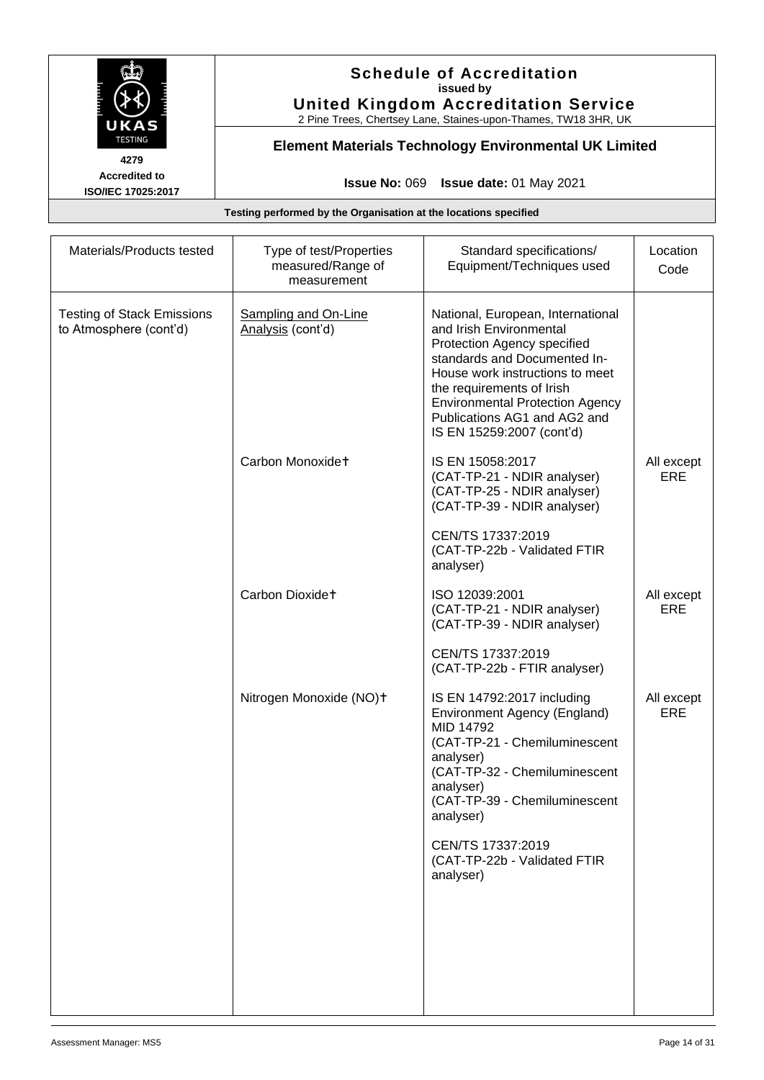

# **Schedule of Accreditation issued by United Kingdom Accreditation Service**

2 Pine Trees, Chertsey Lane, Staines-upon-Thames, TW18 3HR, UK

# **Element Materials Technology Environmental UK Limited**

**Issue No:** 069 **Issue date:** 01 May 2021

| Materials/Products tested                                   | Type of test/Properties<br>measured/Range of<br>measurement | Standard specifications/<br>Equipment/Techniques used                                                                                                                                                                                                                                              | Location<br>Code         |
|-------------------------------------------------------------|-------------------------------------------------------------|----------------------------------------------------------------------------------------------------------------------------------------------------------------------------------------------------------------------------------------------------------------------------------------------------|--------------------------|
| <b>Testing of Stack Emissions</b><br>to Atmosphere (cont'd) | <b>Sampling and On-Line</b><br>Analysis (cont'd)            | National, European, International<br>and Irish Environmental<br>Protection Agency specified<br>standards and Documented In-<br>House work instructions to meet<br>the requirements of Irish<br><b>Environmental Protection Agency</b><br>Publications AG1 and AG2 and<br>IS EN 15259:2007 (cont'd) |                          |
|                                                             | Carbon Monoxidet                                            | IS EN 15058:2017<br>(CAT-TP-21 - NDIR analyser)<br>(CAT-TP-25 - NDIR analyser)<br>(CAT-TP-39 - NDIR analyser)<br>CEN/TS 17337:2019<br>(CAT-TP-22b - Validated FTIR<br>analyser)                                                                                                                    | All except<br>ERE        |
|                                                             | Carbon Dioxidet                                             | ISO 12039:2001<br>(CAT-TP-21 - NDIR analyser)<br>(CAT-TP-39 - NDIR analyser)                                                                                                                                                                                                                       | All except<br><b>ERE</b> |
|                                                             |                                                             | CEN/TS 17337:2019<br>(CAT-TP-22b - FTIR analyser)                                                                                                                                                                                                                                                  |                          |
|                                                             | Nitrogen Monoxide (NO)+                                     | IS EN 14792:2017 including<br>Environment Agency (England)<br>MID 14792<br>(CAT-TP-21 - Chemiluminescent<br>analyser)<br>(CAT-TP-32 - Chemiluminescent<br>analyser)<br>(CAT-TP-39 - Chemiluminescent<br>analyser)<br>CEN/TS 17337:2019<br>(CAT-TP-22b - Validated FTIR<br>analyser)                | All except<br><b>ERE</b> |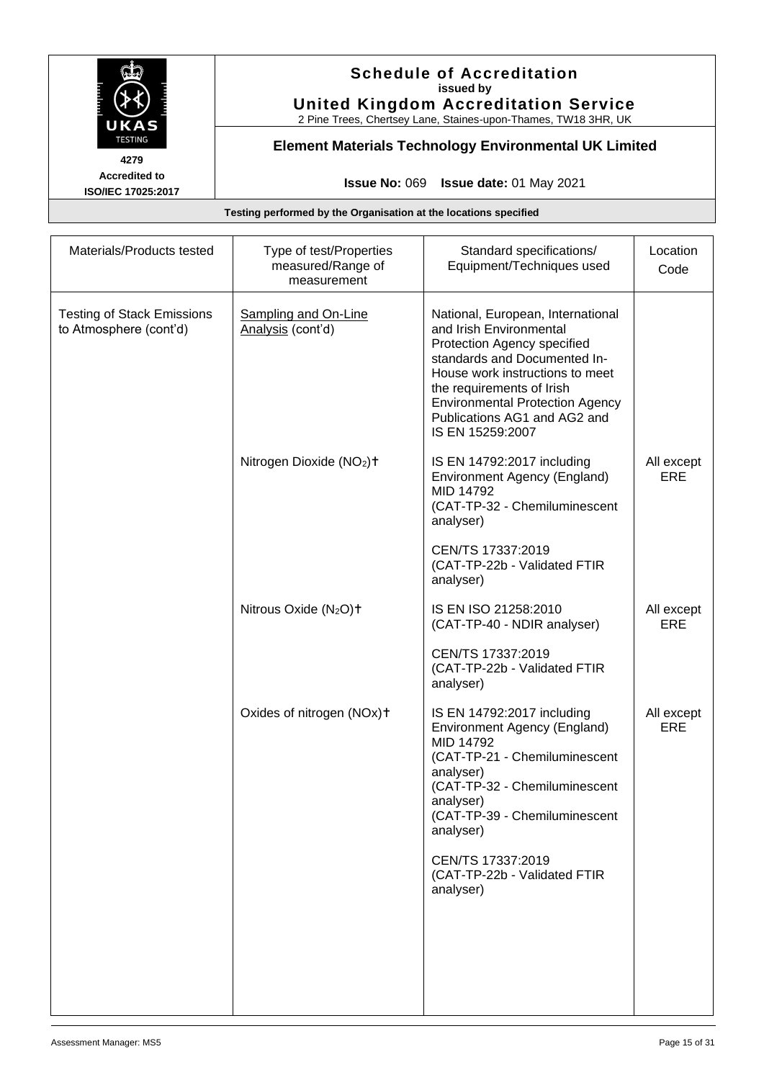

# **Schedule of Accreditation issued by United Kingdom Accreditation Service**

2 Pine Trees, Chertsey Lane, Staines-upon-Thames, TW18 3HR, UK

# **Element Materials Technology Environmental UK Limited**

**Issue No:** 069 **Issue date:** 01 May 2021

| Materials/Products tested                                   | Type of test/Properties<br>measured/Range of<br>measurement | Standard specifications/<br>Equipment/Techniques used                                                                                                                                                                                                                                            | Location<br>Code         |
|-------------------------------------------------------------|-------------------------------------------------------------|--------------------------------------------------------------------------------------------------------------------------------------------------------------------------------------------------------------------------------------------------------------------------------------------------|--------------------------|
| <b>Testing of Stack Emissions</b><br>to Atmosphere (cont'd) | Sampling and On-Line<br>Analysis (cont'd)                   | National, European, International<br>and Irish Environmental<br>Protection Agency specified<br>standards and Documented In-<br>House work instructions to meet<br>the requirements of Irish<br><b>Environmental Protection Agency</b><br>Publications AG1 and AG2 and<br>IS EN 15259:2007        |                          |
|                                                             | Nitrogen Dioxide (NO <sub>2</sub> ) <sup>+</sup>            | IS EN 14792:2017 including<br>Environment Agency (England)<br>MID 14792<br>(CAT-TP-32 - Chemiluminescent<br>analyser)<br>CEN/TS 17337:2019<br>(CAT-TP-22b - Validated FTIR<br>analyser)                                                                                                          | All except<br>ERE        |
|                                                             | Nitrous Oxide (N <sub>2</sub> O) <sup>+</sup>               | IS EN ISO 21258:2010<br>(CAT-TP-40 - NDIR analyser)<br>CEN/TS 17337:2019<br>(CAT-TP-22b - Validated FTIR                                                                                                                                                                                         | All except<br><b>ERE</b> |
|                                                             | Oxides of nitrogen (NOx)+                                   | analyser)<br>IS EN 14792:2017 including<br>Environment Agency (England)<br>MID 14792<br>(CAT-TP-21 - Chemiluminescent<br>analyser)<br>(CAT-TP-32 - Chemiluminescent<br>analyser)<br>(CAT-TP-39 - Chemiluminescent<br>analyser)<br>CEN/TS 17337:2019<br>(CAT-TP-22b - Validated FTIR<br>analyser) | All except<br><b>ERE</b> |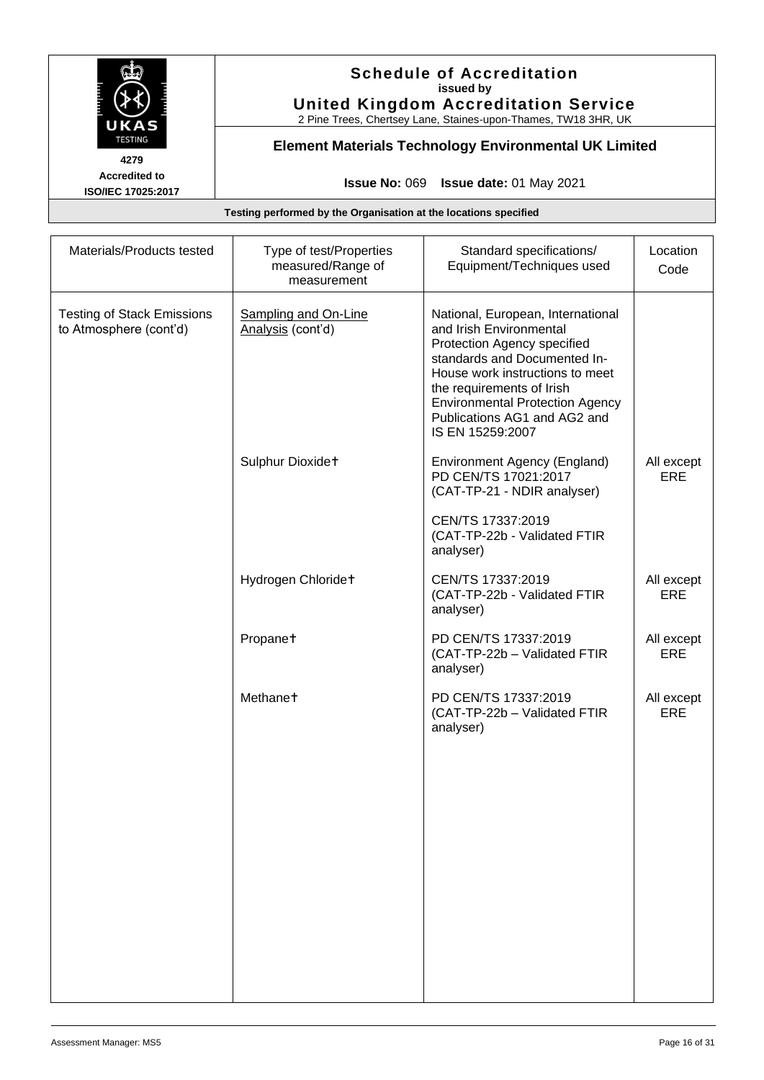

# **Schedule of Accreditation issued by United Kingdom Accreditation Service**

2 Pine Trees, Chertsey Lane, Staines-upon-Thames, TW18 3HR, UK

# **Element Materials Technology Environmental UK Limited**

**Issue No:** 069 **Issue date:** 01 May 2021

| Materials/Products tested                                   | Type of test/Properties<br>measured/Range of<br>measurement | Standard specifications/<br>Equipment/Techniques used                                                                                                                                                                                                                                     | Location<br>Code         |
|-------------------------------------------------------------|-------------------------------------------------------------|-------------------------------------------------------------------------------------------------------------------------------------------------------------------------------------------------------------------------------------------------------------------------------------------|--------------------------|
| <b>Testing of Stack Emissions</b><br>to Atmosphere (cont'd) | Sampling and On-Line<br>Analysis (cont'd)                   | National, European, International<br>and Irish Environmental<br>Protection Agency specified<br>standards and Documented In-<br>House work instructions to meet<br>the requirements of Irish<br><b>Environmental Protection Agency</b><br>Publications AG1 and AG2 and<br>IS EN 15259:2007 |                          |
|                                                             | Sulphur Dioxidet                                            | Environment Agency (England)<br>PD CEN/TS 17021:2017<br>(CAT-TP-21 - NDIR analyser)                                                                                                                                                                                                       | All except<br><b>ERE</b> |
|                                                             |                                                             | CEN/TS 17337:2019<br>(CAT-TP-22b - Validated FTIR<br>analyser)                                                                                                                                                                                                                            |                          |
|                                                             | Hydrogen Chloridet                                          | CEN/TS 17337:2019<br>(CAT-TP-22b - Validated FTIR<br>analyser)                                                                                                                                                                                                                            | All except<br><b>ERE</b> |
|                                                             | Propanet                                                    | PD CEN/TS 17337:2019<br>(CAT-TP-22b - Validated FTIR<br>analyser)                                                                                                                                                                                                                         | All except<br><b>ERE</b> |
|                                                             | Methane <sup>+</sup>                                        | PD CEN/TS 17337:2019<br>(CAT-TP-22b - Validated FTIR<br>analyser)                                                                                                                                                                                                                         | All except<br>ERE        |
|                                                             |                                                             |                                                                                                                                                                                                                                                                                           |                          |
|                                                             |                                                             |                                                                                                                                                                                                                                                                                           |                          |
|                                                             |                                                             |                                                                                                                                                                                                                                                                                           |                          |
|                                                             |                                                             |                                                                                                                                                                                                                                                                                           |                          |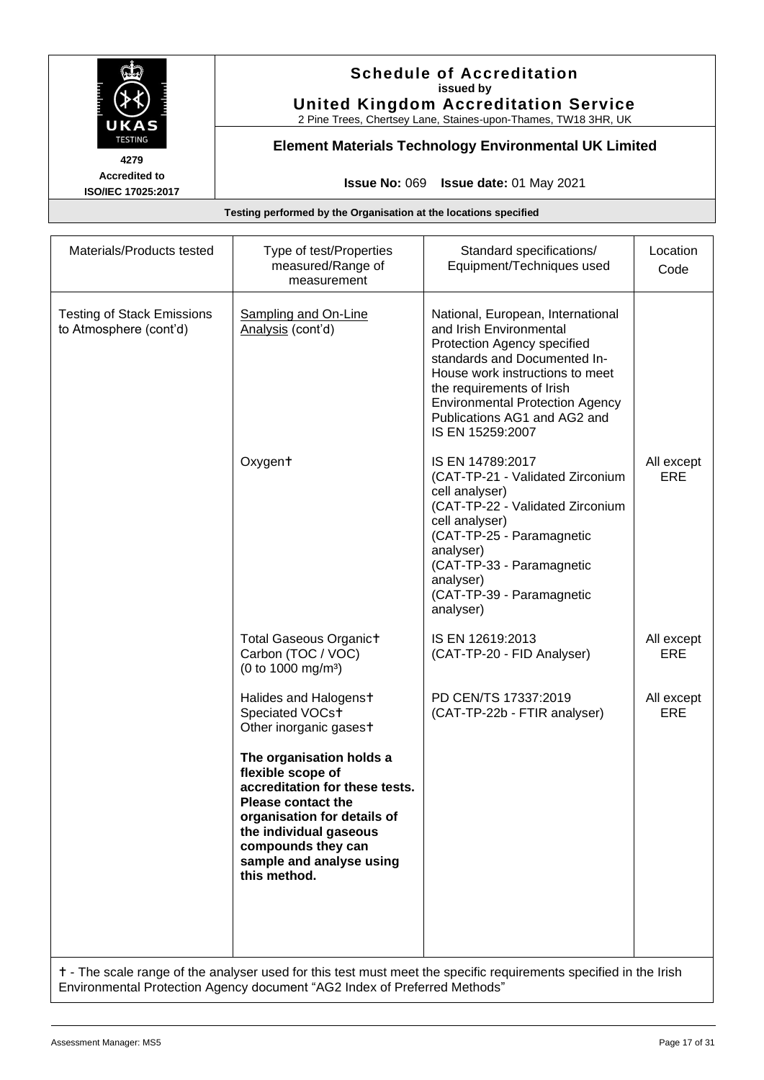

# **Schedule of Accreditation issued by United Kingdom Accreditation Service**

2 Pine Trees, Chertsey Lane, Staines-upon-Thames, TW18 3HR, UK

# **Element Materials Technology Environmental UK Limited**

**Issue No:** 069 **Issue date:** 01 May 2021

**Testing performed by the Organisation at the locations specified**

| Materials/Products tested                                                                                         | Type of test/Properties<br>measured/Range of<br>measurement                                                                                                                                                                             | Standard specifications/<br>Equipment/Techniques used                                                                                                                                                                                                                                     | Location<br>Code  |
|-------------------------------------------------------------------------------------------------------------------|-----------------------------------------------------------------------------------------------------------------------------------------------------------------------------------------------------------------------------------------|-------------------------------------------------------------------------------------------------------------------------------------------------------------------------------------------------------------------------------------------------------------------------------------------|-------------------|
| <b>Testing of Stack Emissions</b><br>to Atmosphere (cont'd)                                                       | <b>Sampling and On-Line</b><br>Analysis (cont'd)                                                                                                                                                                                        | National, European, International<br>and Irish Environmental<br>Protection Agency specified<br>standards and Documented In-<br>House work instructions to meet<br>the requirements of Irish<br><b>Environmental Protection Agency</b><br>Publications AG1 and AG2 and<br>IS EN 15259:2007 |                   |
|                                                                                                                   | Oxygent                                                                                                                                                                                                                                 | IS EN 14789:2017<br>(CAT-TP-21 - Validated Zirconium<br>cell analyser)<br>(CAT-TP-22 - Validated Zirconium<br>cell analyser)<br>(CAT-TP-25 - Paramagnetic<br>analyser)<br>(CAT-TP-33 - Paramagnetic<br>analyser)<br>(CAT-TP-39 - Paramagnetic<br>analyser)                                | All except<br>ERE |
|                                                                                                                   | <b>Total Gaseous Organict</b><br>Carbon (TOC / VOC)<br>(0 to 1000 mg/m <sup>3</sup> )                                                                                                                                                   | IS EN 12619:2013<br>(CAT-TP-20 - FID Analyser)                                                                                                                                                                                                                                            | All except<br>ERE |
|                                                                                                                   | Halides and Halogenst<br>Speciated VOCst<br>Other inorganic gasest                                                                                                                                                                      | PD CEN/TS 17337:2019<br>(CAT-TP-22b - FTIR analyser)                                                                                                                                                                                                                                      | All except<br>ERE |
|                                                                                                                   | The organisation holds a<br>flexible scope of<br>accreditation for these tests.<br><b>Please contact the</b><br>organisation for details of<br>the individual gaseous<br>compounds they can<br>sample and analyse using<br>this method. |                                                                                                                                                                                                                                                                                           |                   |
| t - The scale range of the analyser used for this test must meet the specific requirements specified in the Irish |                                                                                                                                                                                                                                         |                                                                                                                                                                                                                                                                                           |                   |

Environmental Protection Agency document "AG2 Index of Preferred Methods"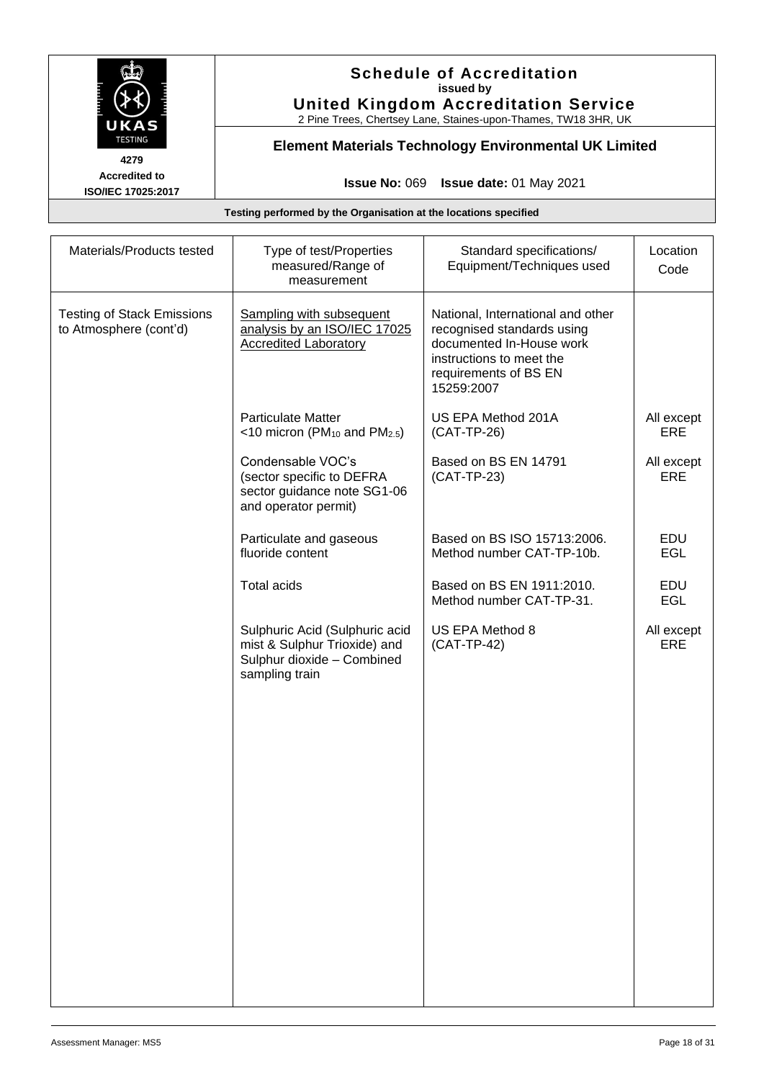

# **Schedule of Accreditation issued by United Kingdom Accreditation Service**

2 Pine Trees, Chertsey Lane, Staines-upon-Thames, TW18 3HR, UK

# **Element Materials Technology Environmental UK Limited**

**Issue No:** 069 **Issue date:** 01 May 2021

| National, International and other<br>recognised standards using<br>documented In-House work<br>instructions to meet the<br>requirements of BS EN |            |
|--------------------------------------------------------------------------------------------------------------------------------------------------|------------|
| 15259:2007                                                                                                                                       |            |
| US EPA Method 201A                                                                                                                               | All except |
| (CAT-TP-26)                                                                                                                                      | ERE        |
| Based on BS EN 14791                                                                                                                             | All except |
| (CAT-TP-23)                                                                                                                                      | ERE        |
| Based on BS ISO 15713:2006.                                                                                                                      | EDU        |
| Method number CAT-TP-10b.                                                                                                                        | <b>EGL</b> |
| Based on BS EN 1911:2010.                                                                                                                        | EDU        |
| Method number CAT-TP-31.                                                                                                                         | <b>EGL</b> |
| US EPA Method 8                                                                                                                                  | All except |
| (CAT-TP-42)                                                                                                                                      | <b>ERE</b> |
|                                                                                                                                                  |            |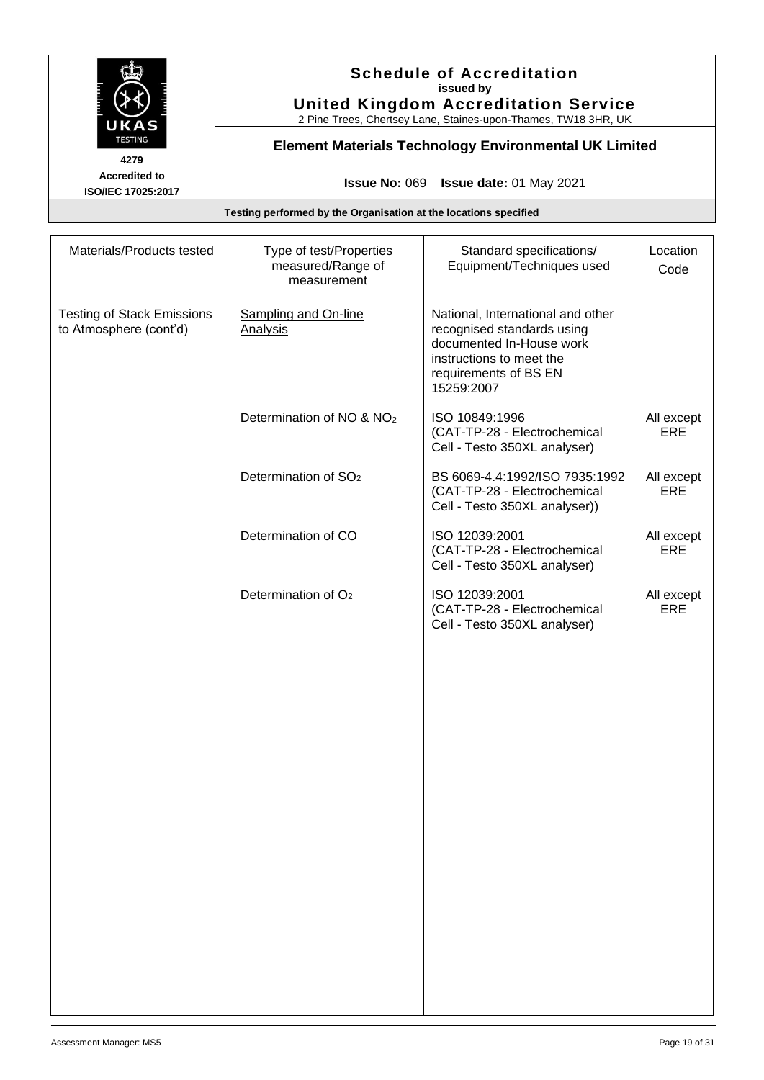

# **Schedule of Accreditation issued by United Kingdom Accreditation Service**

2 Pine Trees, Chertsey Lane, Staines-upon-Thames, TW18 3HR, UK

# **Element Materials Technology Environmental UK Limited**

**Issue No:** 069 **Issue date:** 01 May 2021

| Materials/Products tested                                   | Type of test/Properties<br>measured/Range of<br>measurement | Standard specifications/<br>Equipment/Techniques used                                                                                                          | Location<br>Code         |
|-------------------------------------------------------------|-------------------------------------------------------------|----------------------------------------------------------------------------------------------------------------------------------------------------------------|--------------------------|
| <b>Testing of Stack Emissions</b><br>to Atmosphere (cont'd) | Sampling and On-line<br><b>Analysis</b>                     | National, International and other<br>recognised standards using<br>documented In-House work<br>instructions to meet the<br>requirements of BS EN<br>15259:2007 |                          |
|                                                             | Determination of NO & NO <sub>2</sub>                       | ISO 10849:1996<br>(CAT-TP-28 - Electrochemical<br>Cell - Testo 350XL analyser)                                                                                 | All except<br><b>ERE</b> |
|                                                             | Determination of SO <sub>2</sub>                            | BS 6069-4.4:1992/ISO 7935:1992<br>(CAT-TP-28 - Electrochemical<br>Cell - Testo 350XL analyser))                                                                | All except<br>ERE        |
|                                                             | Determination of CO                                         | ISO 12039:2001<br>(CAT-TP-28 - Electrochemical<br>Cell - Testo 350XL analyser)                                                                                 | All except<br>ERE        |
|                                                             | Determination of O <sub>2</sub>                             | ISO 12039:2001<br>(CAT-TP-28 - Electrochemical<br>Cell - Testo 350XL analyser)                                                                                 | All except<br><b>ERE</b> |
|                                                             |                                                             |                                                                                                                                                                |                          |
|                                                             |                                                             |                                                                                                                                                                |                          |
|                                                             |                                                             |                                                                                                                                                                |                          |
|                                                             |                                                             |                                                                                                                                                                |                          |
|                                                             |                                                             |                                                                                                                                                                |                          |
|                                                             |                                                             |                                                                                                                                                                |                          |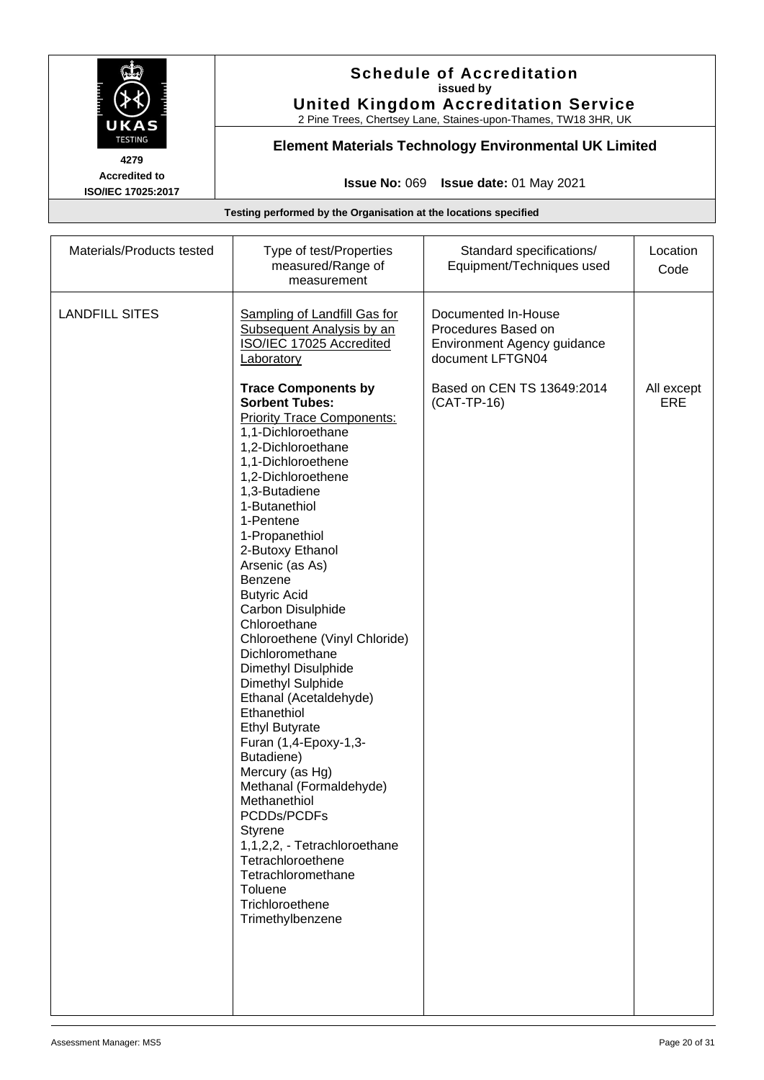

#### **Schedule of Accreditation issued by United Kingdom Accreditation Service**

2 Pine Trees, Chertsey Lane, Staines-upon-Thames, TW18 3HR, UK

# **Element Materials Technology Environmental UK Limited**

**Issue No:** 069 **Issue date:** 01 May 2021

| Materials/Products tested | Type of test/Properties<br>measured/Range of<br>measurement                                                                                                                                                                                                                                                                                                                                                                                                                                                                 | Standard specifications/<br>Equipment/Techniques used                                                                                        | Location<br>Code  |
|---------------------------|-----------------------------------------------------------------------------------------------------------------------------------------------------------------------------------------------------------------------------------------------------------------------------------------------------------------------------------------------------------------------------------------------------------------------------------------------------------------------------------------------------------------------------|----------------------------------------------------------------------------------------------------------------------------------------------|-------------------|
| <b>LANDFILL SITES</b>     | Sampling of Landfill Gas for<br><b>Subsequent Analysis by an</b><br>ISO/IEC 17025 Accredited<br>Laboratory<br><b>Trace Components by</b><br><b>Sorbent Tubes:</b><br><b>Priority Trace Components:</b><br>1,1-Dichloroethane<br>1,2-Dichloroethane<br>1,1-Dichloroethene<br>1,2-Dichloroethene<br>1,3-Butadiene<br>1-Butanethiol<br>1-Pentene<br>1-Propanethiol<br>2-Butoxy Ethanol                                                                                                                                         | Documented In-House<br>Procedures Based on<br>Environment Agency guidance<br>document LFTGN04<br>Based on CEN TS 13649:2014<br>$(CAT-TP-16)$ | All except<br>ERE |
|                           | Arsenic (as As)<br><b>Benzene</b><br><b>Butyric Acid</b><br>Carbon Disulphide<br>Chloroethane<br>Chloroethene (Vinyl Chloride)<br>Dichloromethane<br>Dimethyl Disulphide<br>Dimethyl Sulphide<br>Ethanal (Acetaldehyde)<br>Ethanethiol<br><b>Ethyl Butyrate</b><br>Furan (1,4-Epoxy-1,3-<br>Butadiene)<br>Mercury (as Hg)<br>Methanal (Formaldehyde)<br>Methanethiol<br>PCDDs/PCDFs<br>Styrene<br>1,1,2,2, - Tetrachloroethane<br>Tetrachloroethene<br>Tetrachloromethane<br>Toluene<br>Trichloroethene<br>Trimethylbenzene |                                                                                                                                              |                   |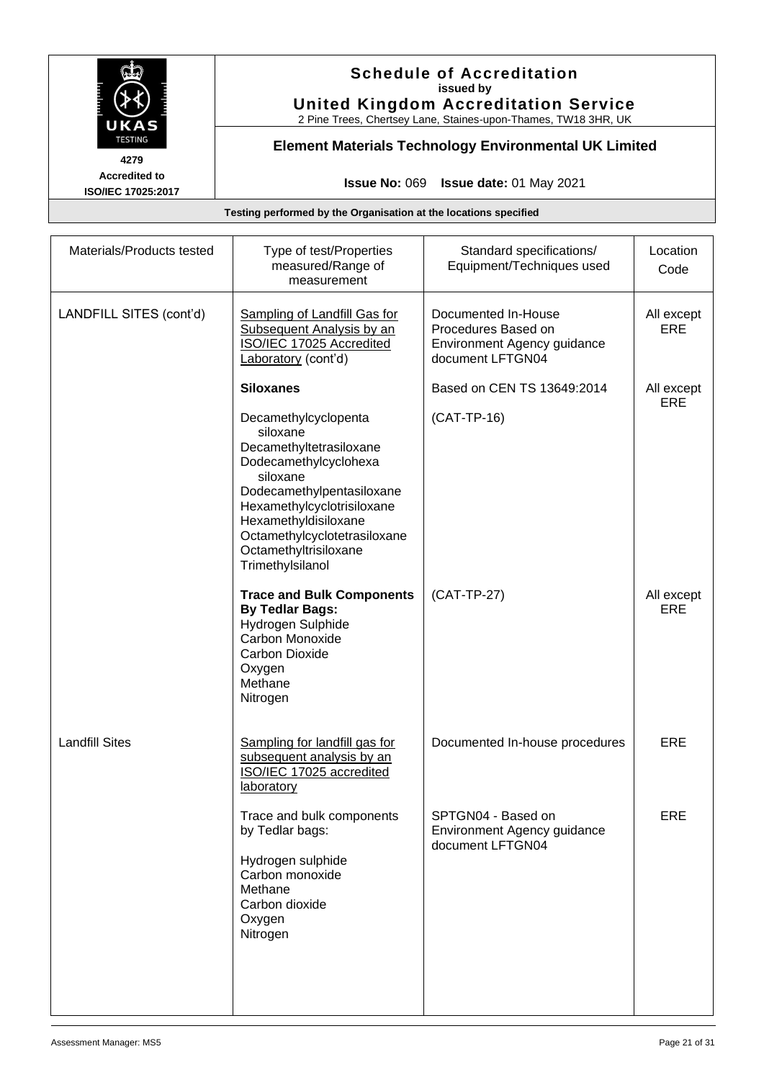

# **Schedule of Accreditation issued by United Kingdom Accreditation Service**

2 Pine Trees, Chertsey Lane, Staines-upon-Thames, TW18 3HR, UK

# **Element Materials Technology Environmental UK Limited**

**Issue No:** 069 **Issue date:** 01 May 2021

| Materials/Products tested | Type of test/Properties<br>measured/Range of<br>measurement                                                                                                                                                                                                      | Standard specifications/<br>Equipment/Techniques used                                         | Location<br>Code         |
|---------------------------|------------------------------------------------------------------------------------------------------------------------------------------------------------------------------------------------------------------------------------------------------------------|-----------------------------------------------------------------------------------------------|--------------------------|
| LANDFILL SITES (cont'd)   | Sampling of Landfill Gas for<br>Subsequent Analysis by an<br>ISO/IEC 17025 Accredited<br>Laboratory (cont'd)                                                                                                                                                     | Documented In-House<br>Procedures Based on<br>Environment Agency guidance<br>document LFTGN04 | All except<br><b>ERE</b> |
|                           | <b>Siloxanes</b>                                                                                                                                                                                                                                                 | Based on CEN TS 13649:2014                                                                    | All except<br><b>ERE</b> |
|                           | Decamethylcyclopenta<br>siloxane<br>Decamethyltetrasiloxane<br>Dodecamethylcyclohexa<br>siloxane<br>Dodecamethylpentasiloxane<br>Hexamethylcyclotrisiloxane<br>Hexamethyldisiloxane<br>Octamethylcyclotetrasiloxane<br>Octamethyltrisiloxane<br>Trimethylsilanol | (CAT-TP-16)                                                                                   |                          |
|                           | <b>Trace and Bulk Components</b><br><b>By Tedlar Bags:</b><br>Hydrogen Sulphide<br>Carbon Monoxide<br>Carbon Dioxide<br>Oxygen<br>Methane<br>Nitrogen                                                                                                            | (CAT-TP-27)                                                                                   | All except<br><b>ERE</b> |
| <b>Landfill Sites</b>     | Sampling for landfill gas for<br>subsequent analysis by an<br>ISO/IEC 17025 accredited<br>laboratory                                                                                                                                                             | Documented In-house procedures                                                                | ERE                      |
|                           | Trace and bulk components<br>by Tedlar bags:<br>Hydrogen sulphide<br>Carbon monoxide<br>Methane<br>Carbon dioxide<br>Oxygen<br>Nitrogen                                                                                                                          | SPTGN04 - Based on<br>Environment Agency guidance<br>document LFTGN04                         | ERE                      |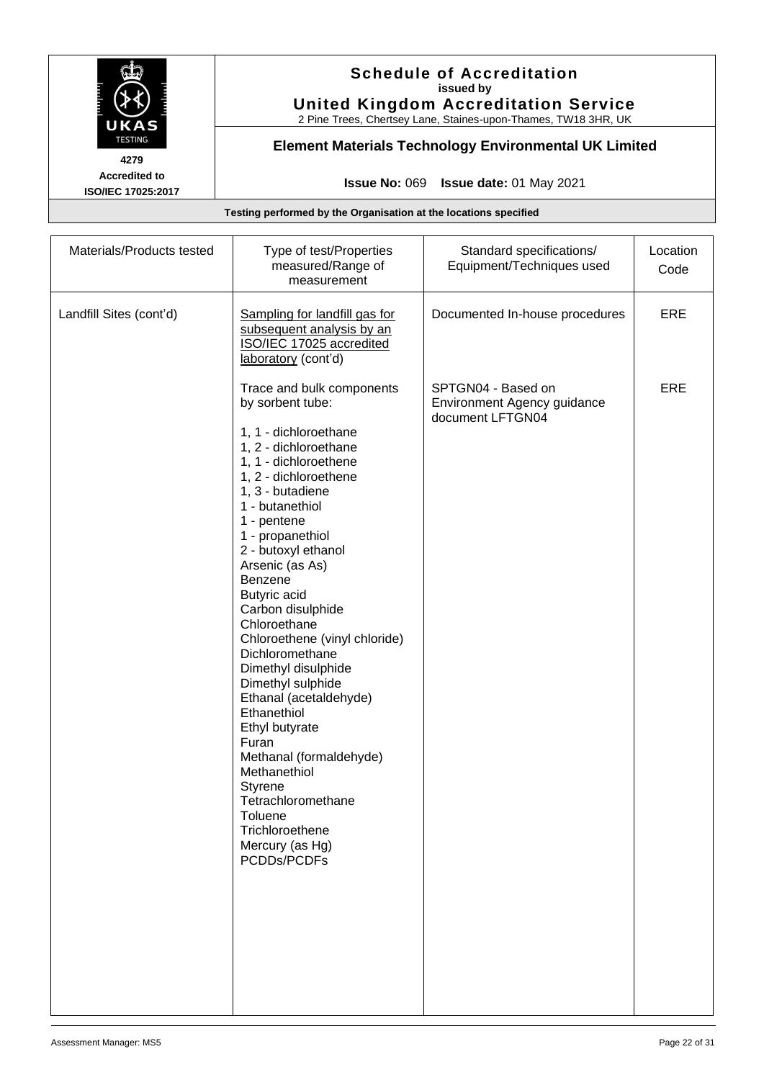

# **Schedule of Accreditation issued by United Kingdom Accreditation Service**

2 Pine Trees, Chertsey Lane, Staines-upon-Thames, TW18 3HR, UK

# **Element Materials Technology Environmental UK Limited**

**Issue No:** 069 **Issue date:** 01 May 2021

| Materials/Products tested | Type of test/Properties<br>measured/Range of<br>measurement                                                                                                                                                                                                                                                                                                                                                                                                                                                                                                                                                                                                  | Standard specifications/<br>Equipment/Techniques used                 | Location<br>Code |
|---------------------------|--------------------------------------------------------------------------------------------------------------------------------------------------------------------------------------------------------------------------------------------------------------------------------------------------------------------------------------------------------------------------------------------------------------------------------------------------------------------------------------------------------------------------------------------------------------------------------------------------------------------------------------------------------------|-----------------------------------------------------------------------|------------------|
| Landfill Sites (cont'd)   | Sampling for landfill gas for<br>subsequent analysis by an<br>ISO/IEC 17025 accredited<br>laboratory (cont'd)                                                                                                                                                                                                                                                                                                                                                                                                                                                                                                                                                | Documented In-house procedures                                        | ERE              |
|                           | Trace and bulk components<br>by sorbent tube:<br>1, 1 - dichloroethane<br>1, 2 - dichloroethane<br>1, 1 - dichloroethene<br>1, 2 - dichloroethene<br>1, 3 - butadiene<br>1 - butanethiol<br>1 - pentene<br>1 - propanethiol<br>2 - butoxyl ethanol<br>Arsenic (as As)<br>Benzene<br><b>Butyric acid</b><br>Carbon disulphide<br>Chloroethane<br>Chloroethene (vinyl chloride)<br>Dichloromethane<br>Dimethyl disulphide<br>Dimethyl sulphide<br>Ethanal (acetaldehyde)<br>Ethanethiol<br>Ethyl butyrate<br>Furan<br>Methanal (formaldehyde)<br>Methanethiol<br>Styrene<br>Tetrachloromethane<br>Toluene<br>Trichloroethene<br>Mercury (as Hg)<br>PCDDs/PCDFs | SPTGN04 - Based on<br>Environment Agency guidance<br>document LFTGN04 | ERE              |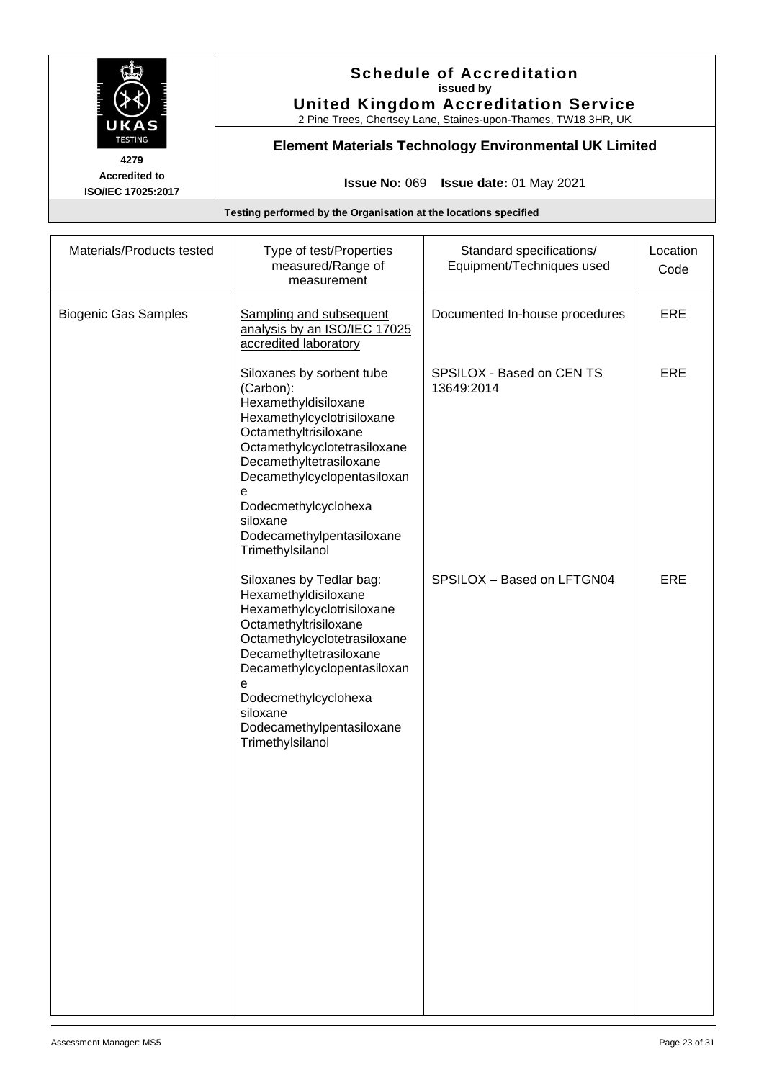

# **Schedule of Accreditation issued by United Kingdom Accreditation Service**

2 Pine Trees, Chertsey Lane, Staines-upon-Thames, TW18 3HR, UK

# **Element Materials Technology Environmental UK Limited**

**Issue No:** 069 **Issue date:** 01 May 2021

| Materials/Products tested   | Type of test/Properties<br>measured/Range of<br>measurement                                                                                                                                                                                                                                               | Standard specifications/<br>Equipment/Techniques used | Location<br>Code |
|-----------------------------|-----------------------------------------------------------------------------------------------------------------------------------------------------------------------------------------------------------------------------------------------------------------------------------------------------------|-------------------------------------------------------|------------------|
| <b>Biogenic Gas Samples</b> | Sampling and subsequent<br>analysis by an ISO/IEC 17025<br>accredited laboratory                                                                                                                                                                                                                          | Documented In-house procedures                        | ERE              |
|                             | Siloxanes by sorbent tube<br>(Carbon):<br>Hexamethyldisiloxane<br>Hexamethylcyclotrisiloxane<br>Octamethyltrisiloxane<br>Octamethylcyclotetrasiloxane<br>Decamethyltetrasiloxane<br>Decamethylcyclopentasiloxan<br>е<br>Dodecmethylcyclohexa<br>siloxane<br>Dodecamethylpentasiloxane<br>Trimethylsilanol | SPSILOX - Based on CEN TS<br>13649:2014               | ERE              |
|                             | Siloxanes by Tedlar bag:<br>Hexamethyldisiloxane<br>Hexamethylcyclotrisiloxane<br>Octamethyltrisiloxane<br>Octamethylcyclotetrasiloxane<br>Decamethyltetrasiloxane<br>Decamethylcyclopentasiloxan<br>е<br>Dodecmethylcyclohexa<br>siloxane<br>Dodecamethylpentasiloxane<br>Trimethylsilanol               | SPSILOX - Based on LFTGN04                            | <b>ERE</b>       |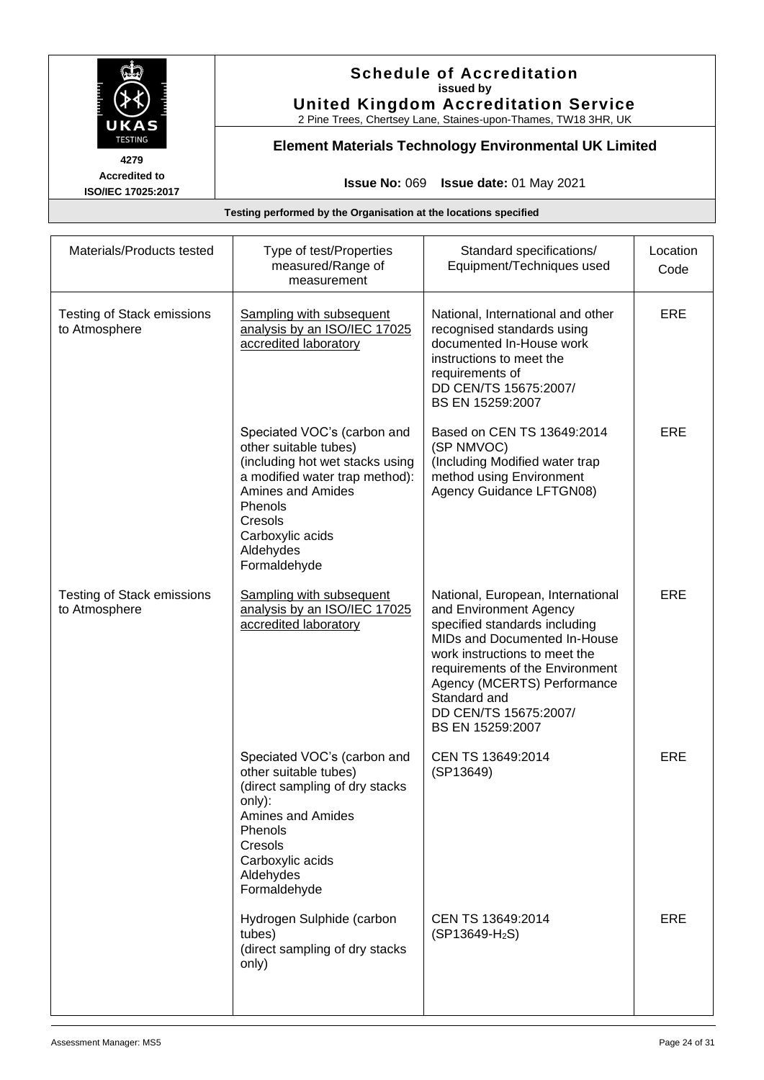

# **Schedule of Accreditation issued by United Kingdom Accreditation Service**

2 Pine Trees, Chertsey Lane, Staines-upon-Thames, TW18 3HR, UK

# **Element Materials Technology Environmental UK Limited**

**Issue No:** 069 **Issue date:** 01 May 2021

| Materials/Products tested                          | Type of test/Properties<br>measured/Range of<br>measurement                                                                                                                                                                  | Standard specifications/<br>Equipment/Techniques used                                                                                                                                                                                                                                        | Location<br>Code |
|----------------------------------------------------|------------------------------------------------------------------------------------------------------------------------------------------------------------------------------------------------------------------------------|----------------------------------------------------------------------------------------------------------------------------------------------------------------------------------------------------------------------------------------------------------------------------------------------|------------------|
| <b>Testing of Stack emissions</b><br>to Atmosphere | Sampling with subsequent<br>analysis by an ISO/IEC 17025<br>accredited laboratory                                                                                                                                            | National, International and other<br>recognised standards using<br>documented In-House work<br>instructions to meet the<br>requirements of<br>DD CEN/TS 15675:2007/<br>BS EN 15259:2007                                                                                                      | <b>ERE</b>       |
|                                                    | Speciated VOC's (carbon and<br>other suitable tubes)<br>(including hot wet stacks using<br>a modified water trap method):<br><b>Amines and Amides</b><br>Phenols<br>Cresols<br>Carboxylic acids<br>Aldehydes<br>Formaldehyde | Based on CEN TS 13649:2014<br>(SP NMVOC)<br>(Including Modified water trap<br>method using Environment<br>Agency Guidance LFTGN08)                                                                                                                                                           | ERE              |
| <b>Testing of Stack emissions</b><br>to Atmosphere | Sampling with subsequent<br>analysis by an ISO/IEC 17025<br>accredited laboratory                                                                                                                                            | National, European, International<br>and Environment Agency<br>specified standards including<br>MIDs and Documented In-House<br>work instructions to meet the<br>requirements of the Environment<br>Agency (MCERTS) Performance<br>Standard and<br>DD CEN/TS 15675:2007/<br>BS EN 15259:2007 | <b>ERE</b>       |
|                                                    | Speciated VOC's (carbon and<br>other suitable tubes)<br>(direct sampling of dry stacks<br>only):<br>Amines and Amides<br>Phenols<br>Cresols<br>Carboxylic acids<br>Aldehydes<br>Formaldehyde                                 | CEN TS 13649:2014<br>(SP13649)                                                                                                                                                                                                                                                               | ERE              |
|                                                    | Hydrogen Sulphide (carbon<br>tubes)<br>(direct sampling of dry stacks<br>only)                                                                                                                                               | CEN TS 13649:2014<br>$(SP13649-H_2S)$                                                                                                                                                                                                                                                        | ERE              |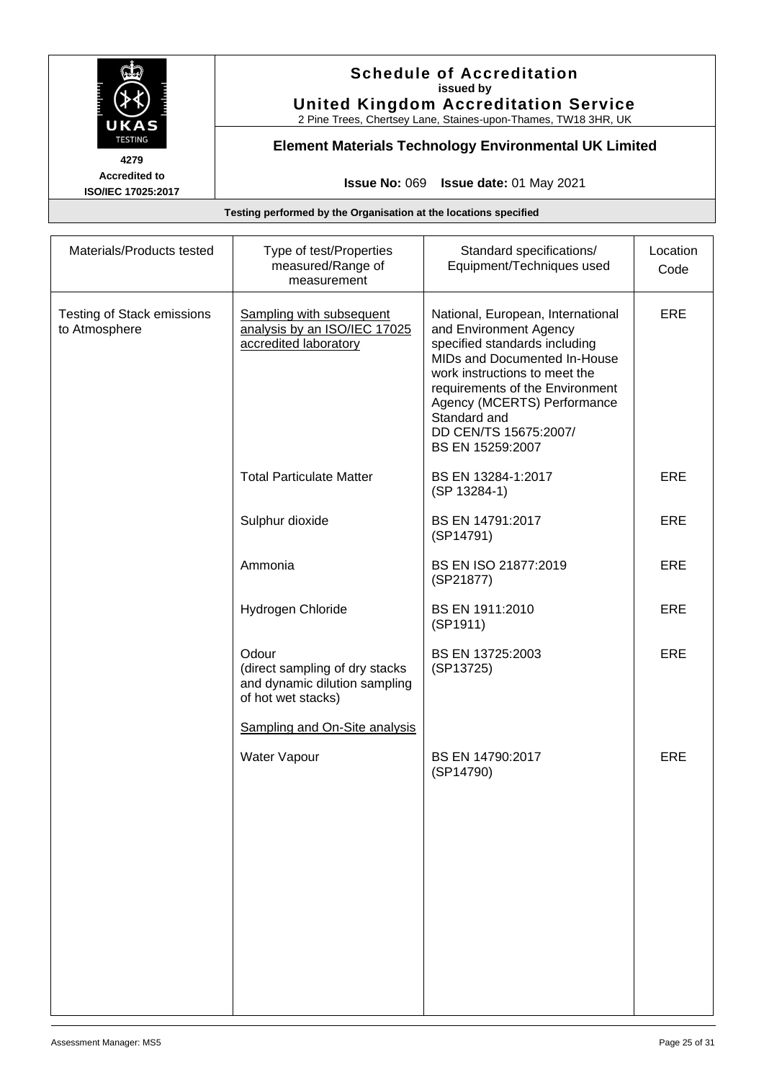

# **Schedule of Accreditation issued by United Kingdom Accreditation Service**

2 Pine Trees, Chertsey Lane, Staines-upon-Thames, TW18 3HR, UK

# **Element Materials Technology Environmental UK Limited**

**Issue No:** 069 **Issue date:** 01 May 2021

| Materials/Products tested                          | Type of test/Properties<br>measured/Range of<br>measurement                                                                     | Standard specifications/<br>Equipment/Techniques used                                                                                                                                                                                                                                        | Location<br>Code |
|----------------------------------------------------|---------------------------------------------------------------------------------------------------------------------------------|----------------------------------------------------------------------------------------------------------------------------------------------------------------------------------------------------------------------------------------------------------------------------------------------|------------------|
| <b>Testing of Stack emissions</b><br>to Atmosphere | Sampling with subsequent<br>analysis by an ISO/IEC 17025<br>accredited laboratory                                               | National, European, International<br>and Environment Agency<br>specified standards including<br>MIDs and Documented In-House<br>work instructions to meet the<br>requirements of the Environment<br>Agency (MCERTS) Performance<br>Standard and<br>DD CEN/TS 15675:2007/<br>BS EN 15259:2007 | ERE              |
|                                                    | <b>Total Particulate Matter</b>                                                                                                 | BS EN 13284-1:2017<br>(SP 13284-1)                                                                                                                                                                                                                                                           | ERE              |
|                                                    | Sulphur dioxide                                                                                                                 | BS EN 14791:2017<br>(SP14791)                                                                                                                                                                                                                                                                | ERE              |
|                                                    | Ammonia                                                                                                                         | BS EN ISO 21877:2019<br>(SP21877)                                                                                                                                                                                                                                                            | ERE              |
|                                                    | Hydrogen Chloride                                                                                                               | BS EN 1911:2010<br>(SP1911)                                                                                                                                                                                                                                                                  | ERE              |
|                                                    | Odour<br>(direct sampling of dry stacks<br>and dynamic dilution sampling<br>of hot wet stacks)<br>Sampling and On-Site analysis | BS EN 13725:2003<br>(SP13725)                                                                                                                                                                                                                                                                | ERE              |
|                                                    | Water Vapour                                                                                                                    | BS EN 14790:2017<br>(SP14790)                                                                                                                                                                                                                                                                | <b>ERE</b>       |
|                                                    |                                                                                                                                 |                                                                                                                                                                                                                                                                                              |                  |
|                                                    |                                                                                                                                 |                                                                                                                                                                                                                                                                                              |                  |
|                                                    |                                                                                                                                 |                                                                                                                                                                                                                                                                                              |                  |
|                                                    |                                                                                                                                 |                                                                                                                                                                                                                                                                                              |                  |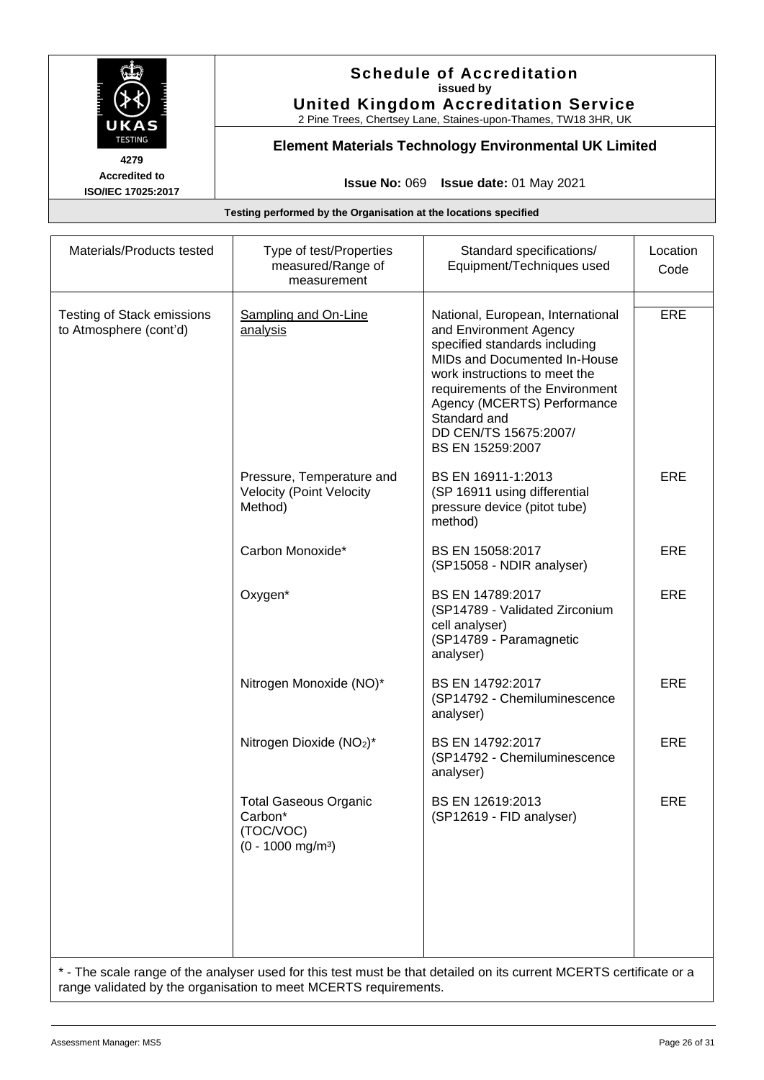

# **Schedule of Accreditation issued by United Kingdom Accreditation Service**

2 Pine Trees, Chertsey Lane, Staines-upon-Thames, TW18 3HR, UK

# **Element Materials Technology Environmental UK Limited**

**Issue No:** 069 **Issue date:** 01 May 2021

**Testing performed by the Organisation at the locations specified**

| Materials/Products tested                                                                                           | Type of test/Properties<br>measured/Range of<br>measurement                             | Standard specifications/<br>Equipment/Techniques used                                                                                                                                                                                                                                        | Location<br>Code |
|---------------------------------------------------------------------------------------------------------------------|-----------------------------------------------------------------------------------------|----------------------------------------------------------------------------------------------------------------------------------------------------------------------------------------------------------------------------------------------------------------------------------------------|------------------|
| <b>Testing of Stack emissions</b><br>to Atmosphere (cont'd)                                                         | <b>Sampling and On-Line</b><br>analysis                                                 | National, European, International<br>and Environment Agency<br>specified standards including<br>MIDs and Documented In-House<br>work instructions to meet the<br>requirements of the Environment<br>Agency (MCERTS) Performance<br>Standard and<br>DD CEN/TS 15675:2007/<br>BS EN 15259:2007 | <b>ERE</b>       |
|                                                                                                                     | Pressure, Temperature and<br><b>Velocity (Point Velocity</b><br>Method)                 | BS EN 16911-1:2013<br>(SP 16911 using differential<br>pressure device (pitot tube)<br>method)                                                                                                                                                                                                | ERE              |
|                                                                                                                     | Carbon Monoxide*                                                                        | BS EN 15058:2017<br>(SP15058 - NDIR analyser)                                                                                                                                                                                                                                                | ERE              |
|                                                                                                                     | Oxygen*                                                                                 | BS EN 14789:2017<br>(SP14789 - Validated Zirconium<br>cell analyser)<br>(SP14789 - Paramagnetic<br>analyser)                                                                                                                                                                                 | <b>ERE</b>       |
|                                                                                                                     | Nitrogen Monoxide (NO)*                                                                 | BS EN 14792:2017<br>(SP14792 - Chemiluminescence<br>analyser)                                                                                                                                                                                                                                | ERE              |
|                                                                                                                     | Nitrogen Dioxide (NO <sub>2</sub> )*                                                    | BS EN 14792:2017<br>(SP14792 - Chemiluminescence<br>analyser)                                                                                                                                                                                                                                | ERE              |
|                                                                                                                     | <b>Total Gaseous Organic</b><br>Carbon*<br>(TOC/VOC)<br>$(0 - 1000$ mg/m <sup>3</sup> ) | BS EN 12619:2013<br>(SP12619 - FID analyser)                                                                                                                                                                                                                                                 | <b>ERE</b>       |
|                                                                                                                     |                                                                                         |                                                                                                                                                                                                                                                                                              |                  |
| * - The scale range of the analyser used for this test must be that detailed on its current MCERTS certificate or a |                                                                                         |                                                                                                                                                                                                                                                                                              |                  |

range validated by the organisation to meet MCERTS requirements.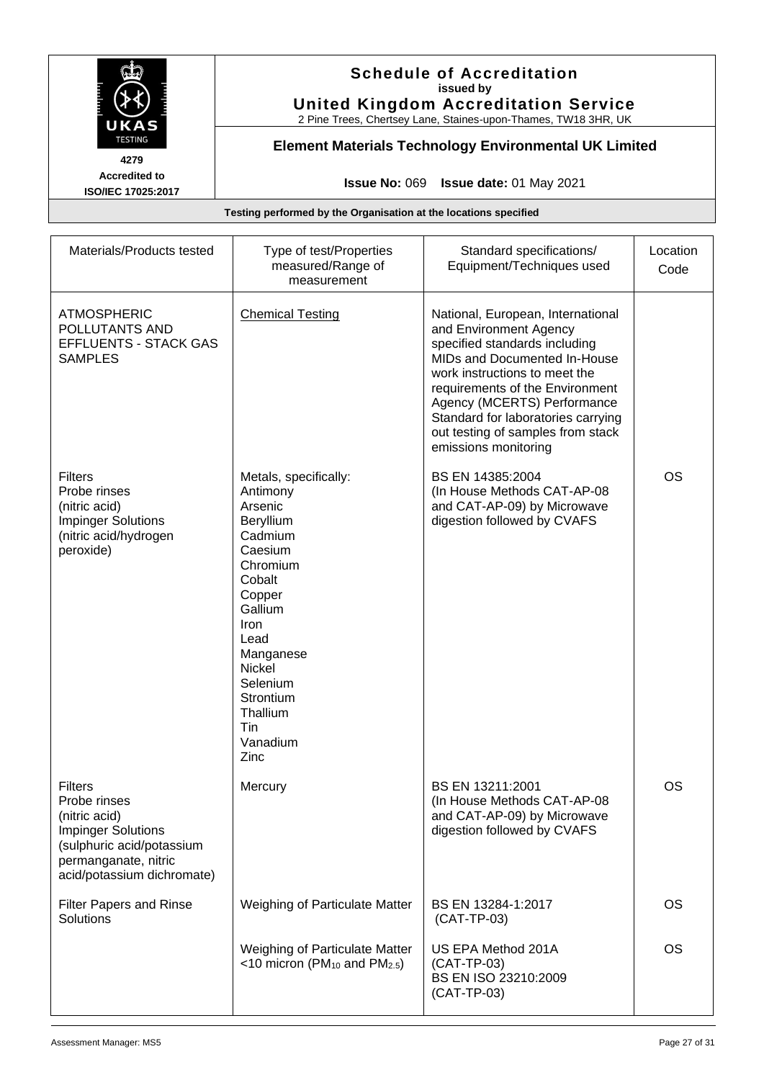

# **Schedule of Accreditation issued by United Kingdom Accreditation Service**

2 Pine Trees, Chertsey Lane, Staines-upon-Thames, TW18 3HR, UK

# **Element Materials Technology Environmental UK Limited**

**Issue No:** 069 **Issue date:** 01 May 2021

| Materials/Products tested                                                                                                                                       | Type of test/Properties<br>measured/Range of<br>measurement                                                                                                                                                                       | Standard specifications/<br>Equipment/Techniques used                                                                                                                                                                                                                                                                              | Location<br>Code |
|-----------------------------------------------------------------------------------------------------------------------------------------------------------------|-----------------------------------------------------------------------------------------------------------------------------------------------------------------------------------------------------------------------------------|------------------------------------------------------------------------------------------------------------------------------------------------------------------------------------------------------------------------------------------------------------------------------------------------------------------------------------|------------------|
| <b>ATMOSPHERIC</b><br>POLLUTANTS AND<br><b>EFFLUENTS - STACK GAS</b><br><b>SAMPLES</b>                                                                          | <b>Chemical Testing</b>                                                                                                                                                                                                           | National, European, International<br>and Environment Agency<br>specified standards including<br>MIDs and Documented In-House<br>work instructions to meet the<br>requirements of the Environment<br>Agency (MCERTS) Performance<br>Standard for laboratories carrying<br>out testing of samples from stack<br>emissions monitoring |                  |
| <b>Filters</b><br>Probe rinses<br>(nitric acid)<br><b>Impinger Solutions</b><br>(nitric acid/hydrogen<br>peroxide)                                              | Metals, specifically:<br>Antimony<br>Arsenic<br>Beryllium<br>Cadmium<br>Caesium<br>Chromium<br>Cobalt<br>Copper<br>Gallium<br>Iron<br>Lead<br>Manganese<br>Nickel<br>Selenium<br>Strontium<br>Thallium<br>Tin<br>Vanadium<br>Zinc | BS EN 14385:2004<br>(In House Methods CAT-AP-08<br>and CAT-AP-09) by Microwave<br>digestion followed by CVAFS                                                                                                                                                                                                                      | <b>OS</b>        |
| <b>Filters</b><br>Probe rinses<br>(nitric acid)<br><b>Impinger Solutions</b><br>(sulphuric acid/potassium<br>permanganate, nitric<br>acid/potassium dichromate) | Mercury                                                                                                                                                                                                                           | BS EN 13211:2001<br>(In House Methods CAT-AP-08<br>and CAT-AP-09) by Microwave<br>digestion followed by CVAFS                                                                                                                                                                                                                      | <b>OS</b>        |
| Filter Papers and Rinse<br>Solutions                                                                                                                            | Weighing of Particulate Matter                                                                                                                                                                                                    | BS EN 13284-1:2017<br>$(CAT-TP-03)$                                                                                                                                                                                                                                                                                                | <b>OS</b>        |
|                                                                                                                                                                 | Weighing of Particulate Matter<br><10 micron ( $PM_{10}$ and $PM_{2.5}$ )                                                                                                                                                         | US EPA Method 201A<br>(CAT-TP-03)<br>BS EN ISO 23210:2009<br>(CAT-TP-03)                                                                                                                                                                                                                                                           | <b>OS</b>        |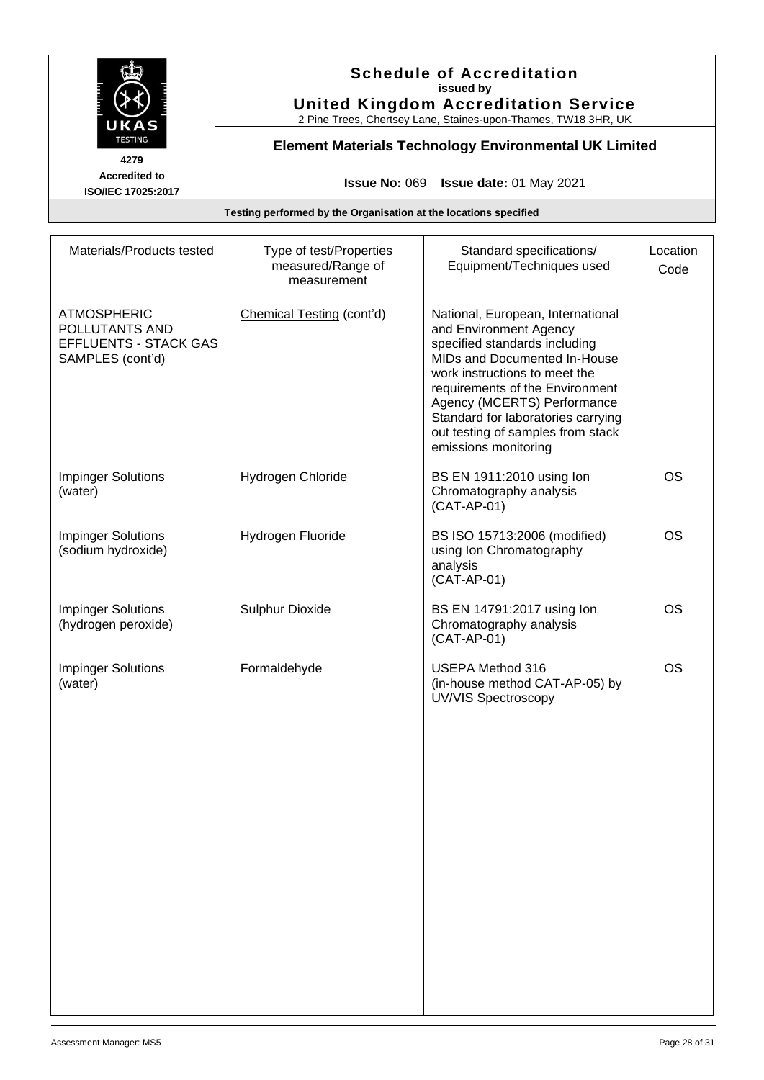

# **Schedule of Accreditation issued by United Kingdom Accreditation Service**

2 Pine Trees, Chertsey Lane, Staines-upon-Thames, TW18 3HR, UK

# **Element Materials Technology Environmental UK Limited**

**Issue No:** 069 **Issue date:** 01 May 2021

| Materials/Products tested                                                                | Type of test/Properties<br>measured/Range of<br>measurement | Standard specifications/<br>Equipment/Techniques used                                                                                                                                                                                                                                                                              | Location<br>Code |
|------------------------------------------------------------------------------------------|-------------------------------------------------------------|------------------------------------------------------------------------------------------------------------------------------------------------------------------------------------------------------------------------------------------------------------------------------------------------------------------------------------|------------------|
| <b>ATMOSPHERIC</b><br>POLLUTANTS AND<br><b>EFFLUENTS - STACK GAS</b><br>SAMPLES (cont'd) | Chemical Testing (cont'd)                                   | National, European, International<br>and Environment Agency<br>specified standards including<br>MIDs and Documented In-House<br>work instructions to meet the<br>requirements of the Environment<br>Agency (MCERTS) Performance<br>Standard for laboratories carrying<br>out testing of samples from stack<br>emissions monitoring |                  |
| <b>Impinger Solutions</b><br>(water)                                                     | Hydrogen Chloride                                           | BS EN 1911:2010 using lon<br>Chromatography analysis<br>(CAT-AP-01)                                                                                                                                                                                                                                                                | <b>OS</b>        |
| <b>Impinger Solutions</b><br>(sodium hydroxide)                                          | Hydrogen Fluoride                                           | BS ISO 15713:2006 (modified)<br>using Ion Chromatography<br>analysis<br>(CAT-AP-01)                                                                                                                                                                                                                                                | <b>OS</b>        |
| <b>Impinger Solutions</b><br>(hydrogen peroxide)                                         | <b>Sulphur Dioxide</b>                                      | BS EN 14791:2017 using lon<br>Chromatography analysis<br>$(CAT-AP-01)$                                                                                                                                                                                                                                                             | <b>OS</b>        |
| <b>Impinger Solutions</b><br>(water)                                                     | Formaldehyde                                                | <b>USEPA Method 316</b><br>(in-house method CAT-AP-05) by<br><b>UV/VIS Spectroscopy</b>                                                                                                                                                                                                                                            | <b>OS</b>        |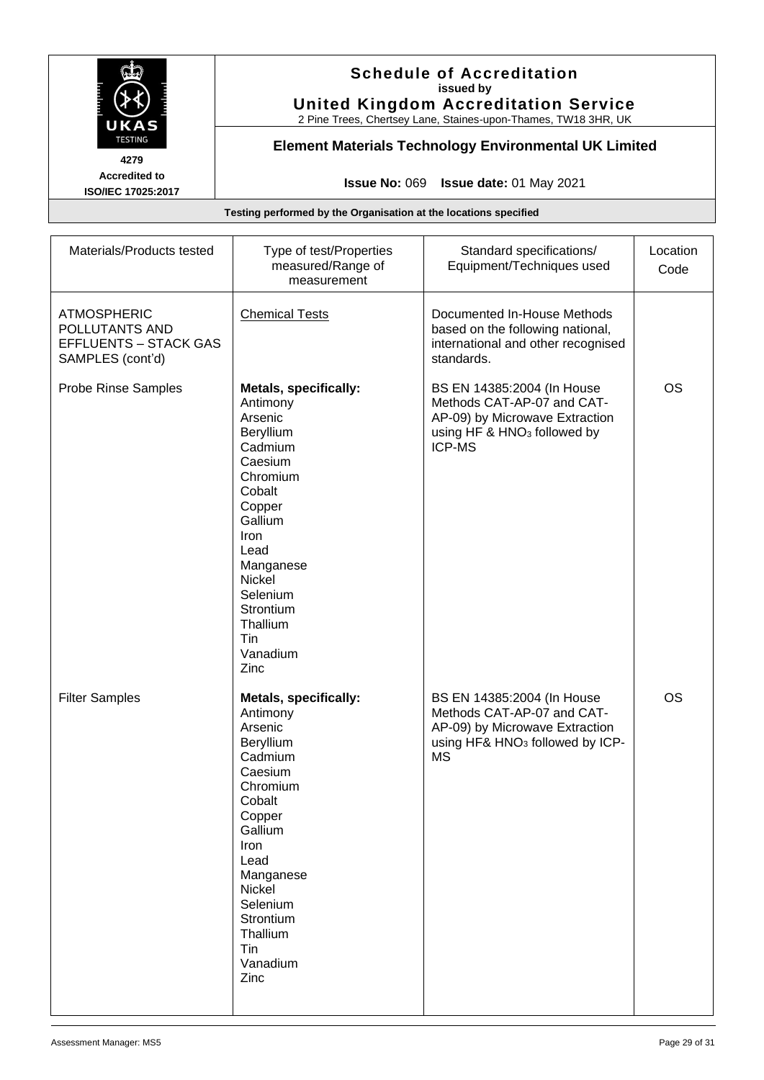

### **Schedule of Accreditation issued by United Kingdom Accreditation Service**

2 Pine Trees, Chertsey Lane, Staines-upon-Thames, TW18 3HR, UK

# **Element Materials Technology Environmental UK Limited**

**Issue No:** 069 **Issue date:** 01 May 2021

| Materials/Products tested                                                                | Type of test/Properties<br>measured/Range of<br>measurement                                                                                                                                                                              | Standard specifications/<br>Equipment/Techniques used                                                                                                  | Location<br>Code |
|------------------------------------------------------------------------------------------|------------------------------------------------------------------------------------------------------------------------------------------------------------------------------------------------------------------------------------------|--------------------------------------------------------------------------------------------------------------------------------------------------------|------------------|
| <b>ATMOSPHERIC</b><br>POLLUTANTS AND<br><b>EFFLUENTS - STACK GAS</b><br>SAMPLES (cont'd) | <b>Chemical Tests</b>                                                                                                                                                                                                                    | Documented In-House Methods<br>based on the following national,<br>international and other recognised<br>standards.                                    |                  |
| Probe Rinse Samples                                                                      | <b>Metals, specifically:</b><br>Antimony<br>Arsenic<br>Beryllium<br>Cadmium<br>Caesium<br>Chromium<br>Cobalt<br>Copper<br>Gallium<br>Iron<br>Lead<br>Manganese<br>Nickel<br>Selenium<br>Strontium<br>Thallium<br>Tin<br>Vanadium<br>Zinc | BS EN 14385:2004 (In House<br>Methods CAT-AP-07 and CAT-<br>AP-09) by Microwave Extraction<br>using HF & HNO <sub>3</sub> followed by<br><b>ICP-MS</b> | <b>OS</b>        |
| <b>Filter Samples</b>                                                                    | <b>Metals, specifically:</b><br>Antimony<br>Arsenic<br>Beryllium<br>Cadmium<br>Caesium<br>Chromium<br>Cobalt<br>Copper<br>Gallium<br>Iron<br>Lead<br>Manganese<br>Nickel<br>Selenium<br>Strontium<br>Thallium<br>Tin<br>Vanadium<br>Zinc | BS EN 14385:2004 (In House<br>Methods CAT-AP-07 and CAT-<br>AP-09) by Microwave Extraction<br>using HF& HNO <sub>3</sub> followed by ICP-<br><b>MS</b> | <b>OS</b>        |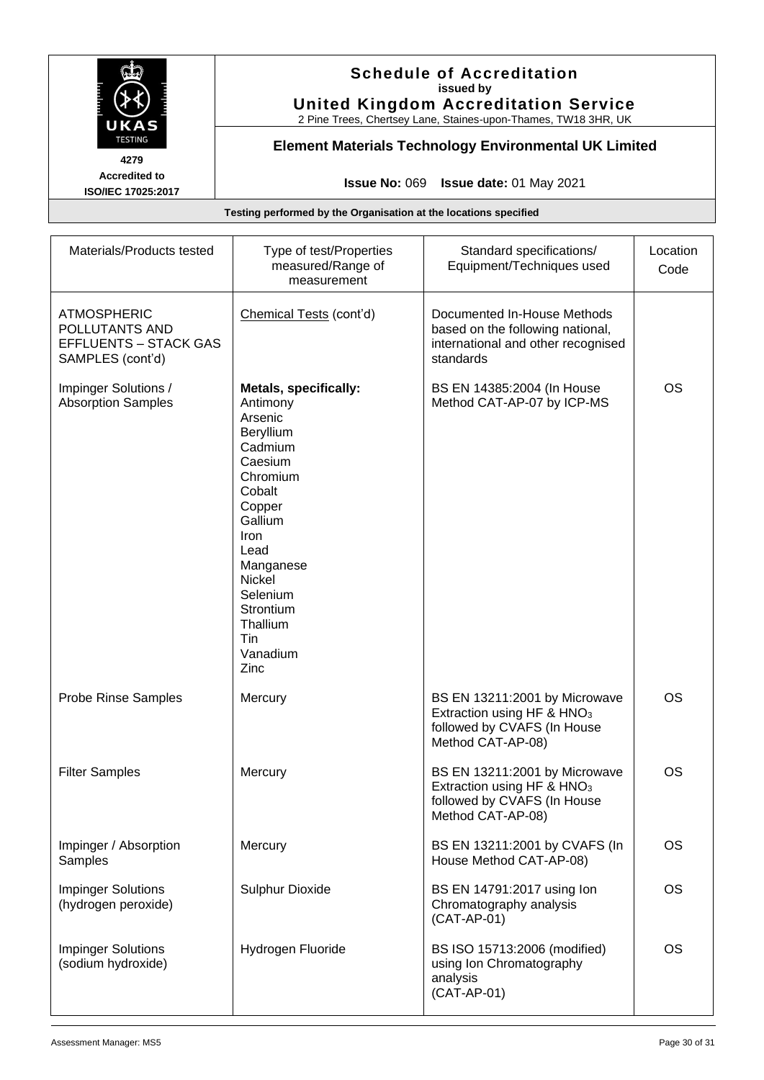

# **Schedule of Accreditation issued by United Kingdom Accreditation Service**

2 Pine Trees, Chertsey Lane, Staines-upon-Thames, TW18 3HR, UK

# **Element Materials Technology Environmental UK Limited**

**Issue No:** 069 **Issue date:** 01 May 2021

| Materials/Products tested                                                                | Type of test/Properties<br>measured/Range of<br>measurement                                                                                                                                                                              | Standard specifications/<br>Equipment/Techniques used                                                                       | Location<br>Code |
|------------------------------------------------------------------------------------------|------------------------------------------------------------------------------------------------------------------------------------------------------------------------------------------------------------------------------------------|-----------------------------------------------------------------------------------------------------------------------------|------------------|
| <b>ATMOSPHERIC</b><br>POLLUTANTS AND<br><b>EFFLUENTS - STACK GAS</b><br>SAMPLES (cont'd) | Chemical Tests (cont'd)                                                                                                                                                                                                                  | Documented In-House Methods<br>based on the following national,<br>international and other recognised<br>standards          |                  |
| Impinger Solutions /<br><b>Absorption Samples</b>                                        | <b>Metals, specifically:</b><br>Antimony<br>Arsenic<br>Beryllium<br>Cadmium<br>Caesium<br>Chromium<br>Cobalt<br>Copper<br>Gallium<br>Iron<br>Lead<br>Manganese<br>Nickel<br>Selenium<br>Strontium<br>Thallium<br>Tin<br>Vanadium<br>Zinc | BS EN 14385:2004 (In House<br>Method CAT-AP-07 by ICP-MS                                                                    | <b>OS</b>        |
| Probe Rinse Samples                                                                      | Mercury                                                                                                                                                                                                                                  | BS EN 13211:2001 by Microwave<br>Extraction using HF & HNO <sub>3</sub><br>followed by CVAFS (In House<br>Method CAT-AP-08) | <b>OS</b>        |
| <b>Filter Samples</b>                                                                    | Mercury                                                                                                                                                                                                                                  | BS EN 13211:2001 by Microwave<br>Extraction using HF & HNO <sub>3</sub><br>followed by CVAFS (In House<br>Method CAT-AP-08) | <b>OS</b>        |
| Impinger / Absorption<br>Samples                                                         | Mercury                                                                                                                                                                                                                                  | BS EN 13211:2001 by CVAFS (In<br>House Method CAT-AP-08)                                                                    | <b>OS</b>        |
| <b>Impinger Solutions</b><br>(hydrogen peroxide)                                         | <b>Sulphur Dioxide</b>                                                                                                                                                                                                                   | BS EN 14791:2017 using lon<br>Chromatography analysis<br>(CAT-AP-01)                                                        | <b>OS</b>        |
| <b>Impinger Solutions</b><br>(sodium hydroxide)                                          | Hydrogen Fluoride                                                                                                                                                                                                                        | BS ISO 15713:2006 (modified)<br>using Ion Chromatography<br>analysis<br>$(CAT-AP-01)$                                       | <b>OS</b>        |